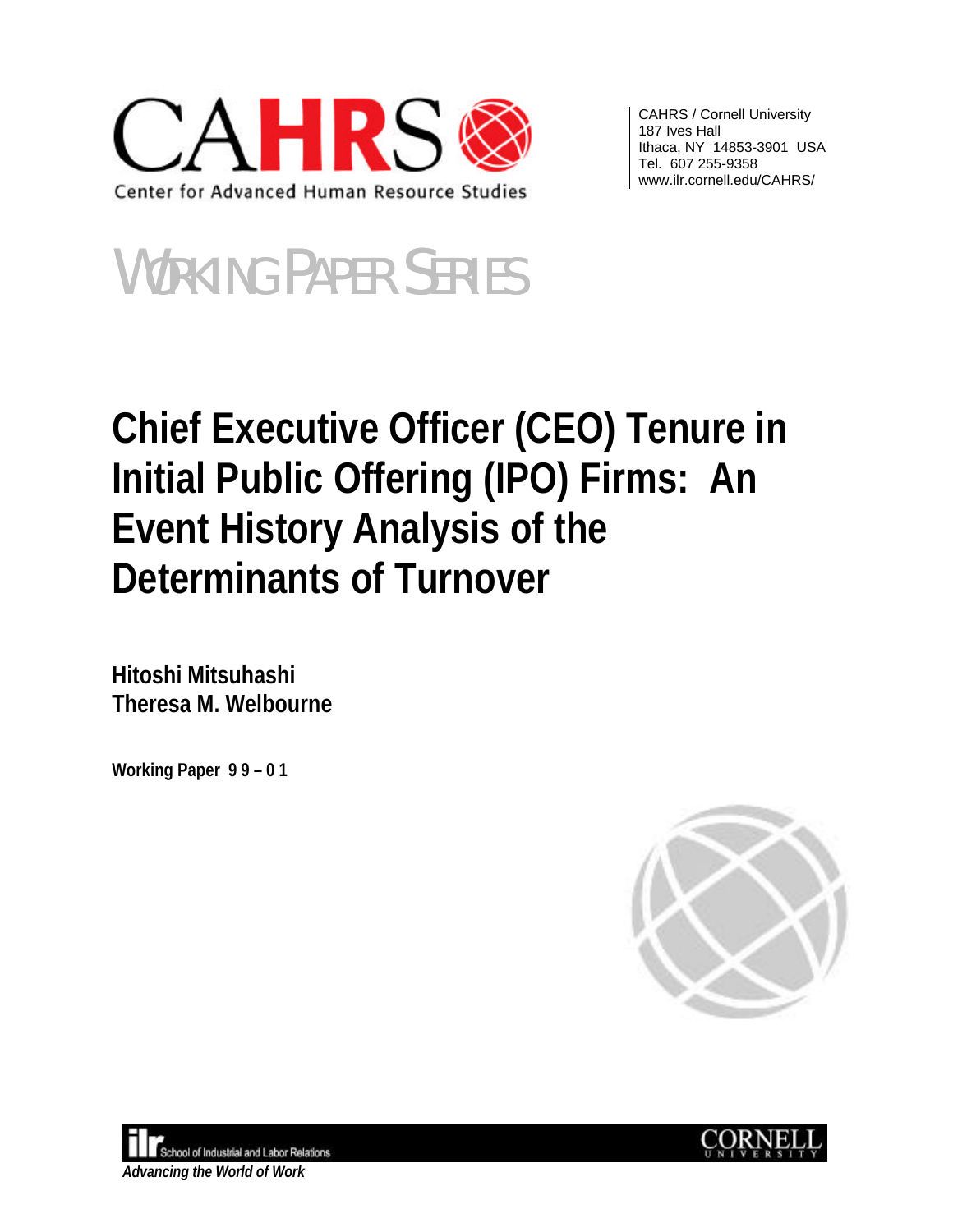

CAHRS / Cornell University 187 Ives Hall Ithaca, NY 14853-3901 USA Tel. 607 255-9358 www.ilr.cornell.edu/CAHRS/

# WORKING PAPER SERIES

## **Chief Executive Officer (CEO) Tenure in Initial Public Offering (IPO) Firms: An Event History Analysis of the Determinants of Turnover**

**Hitoshi Mitsuhashi Theresa M. Welbourne**

**Working Paper 9 9 – 0 1**





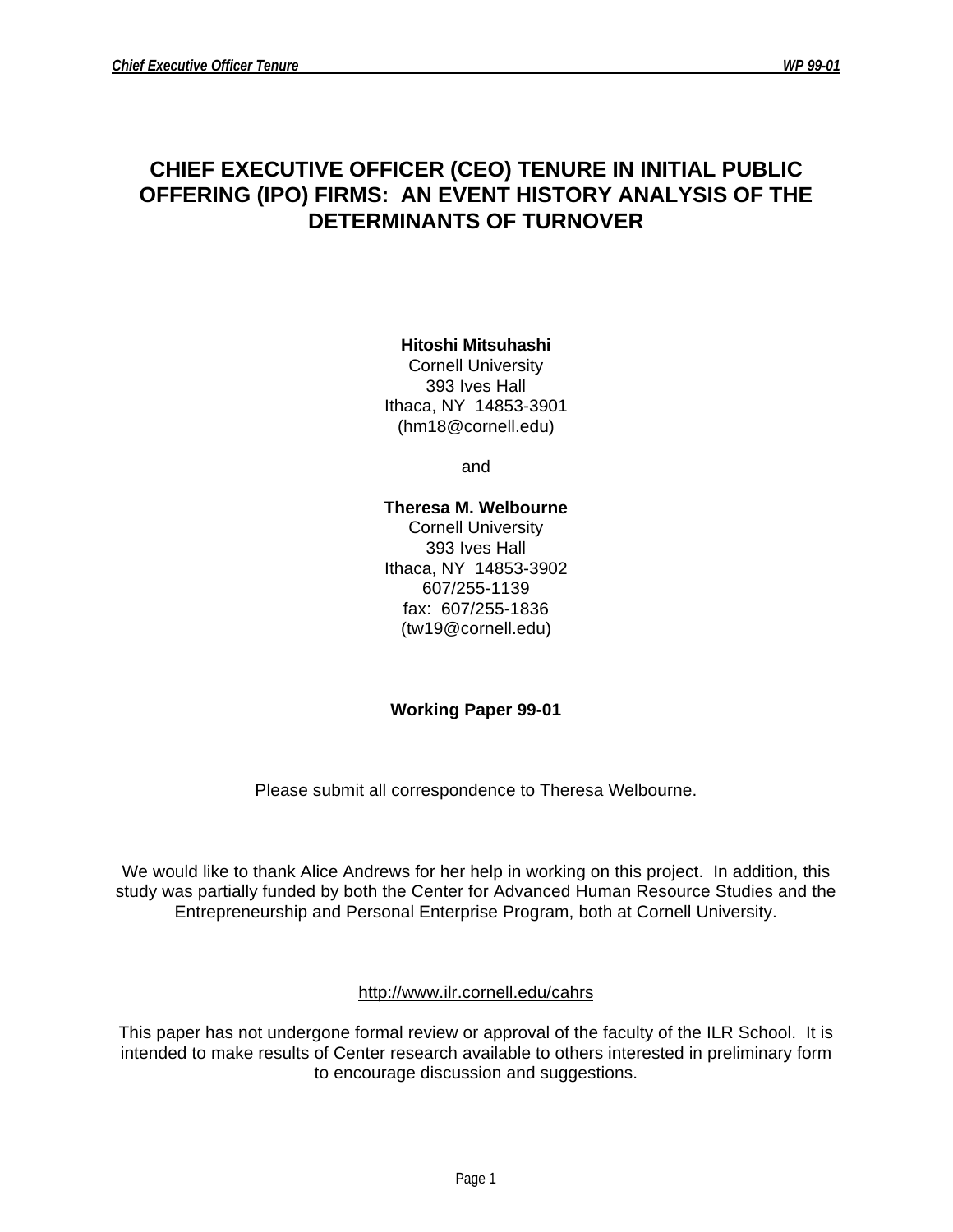### **CHIEF EXECUTIVE OFFICER (CEO) TENURE IN INITIAL PUBLIC OFFERING (IPO) FIRMS: AN EVENT HISTORY ANALYSIS OF THE DETERMINANTS OF TURNOVER**

**Hitoshi Mitsuhashi**

Cornell University 393 Ives Hall Ithaca, NY 14853-3901 (hm18@cornell.edu)

and

**Theresa M. Welbourne**

Cornell University 393 Ives Hall Ithaca, NY 14853-3902 607/255-1139 fax: 607/255-1836 (tw19@cornell.edu)

#### **Working Paper 99-01**

Please submit all correspondence to Theresa Welbourne.

We would like to thank Alice Andrews for her help in working on this project. In addition, this study was partially funded by both the Center for Advanced Human Resource Studies and the Entrepreneurship and Personal Enterprise Program, both at Cornell University.

#### http://www.ilr.cornell.edu/cahrs

This paper has not undergone formal review or approval of the faculty of the ILR School. It is intended to make results of Center research available to others interested in preliminary form to encourage discussion and suggestions.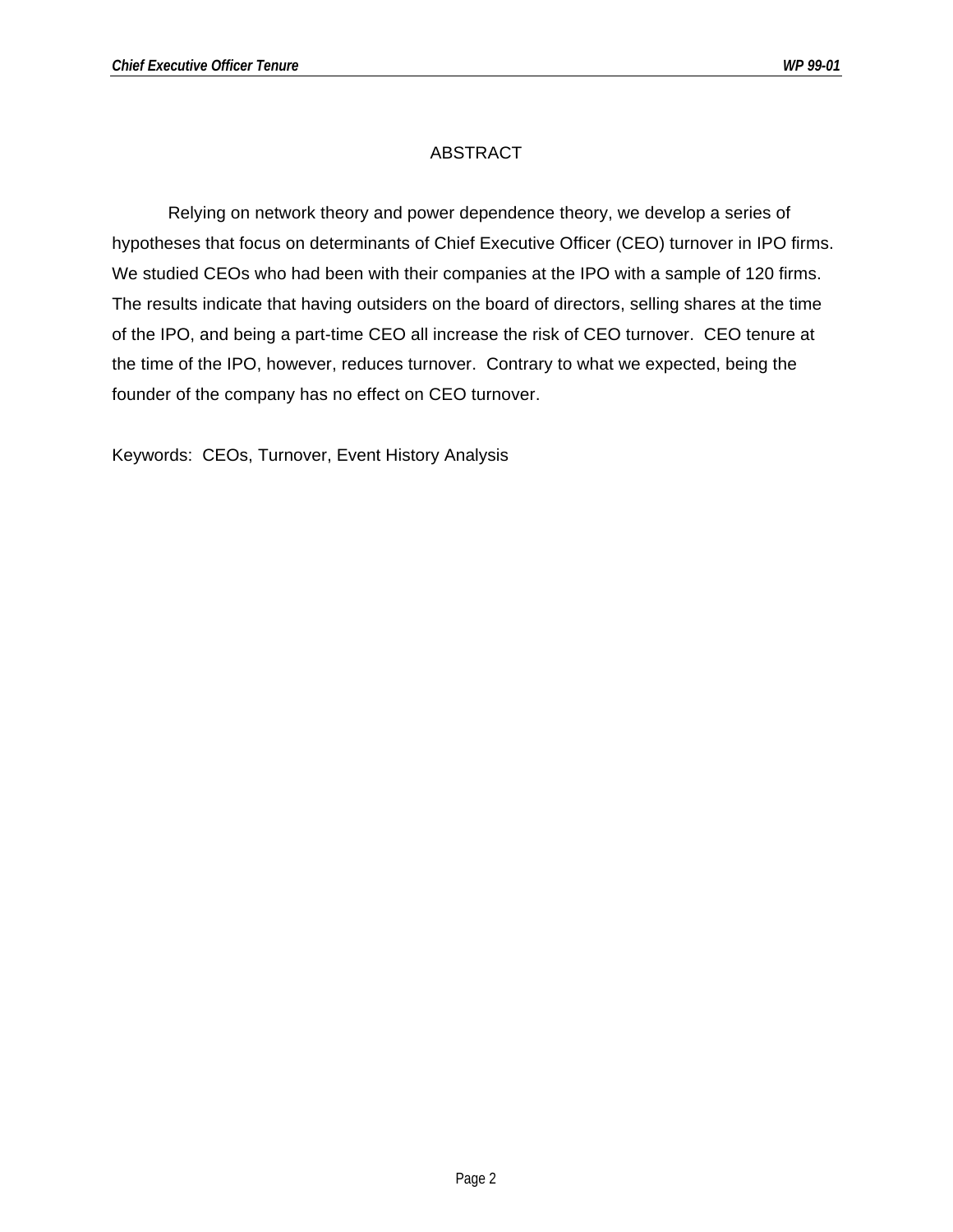#### ABSTRACT

Relying on network theory and power dependence theory, we develop a series of hypotheses that focus on determinants of Chief Executive Officer (CEO) turnover in IPO firms. We studied CEOs who had been with their companies at the IPO with a sample of 120 firms. The results indicate that having outsiders on the board of directors, selling shares at the time of the IPO, and being a part-time CEO all increase the risk of CEO turnover. CEO tenure at the time of the IPO, however, reduces turnover. Contrary to what we expected, being the founder of the company has no effect on CEO turnover.

Keywords: CEOs, Turnover, Event History Analysis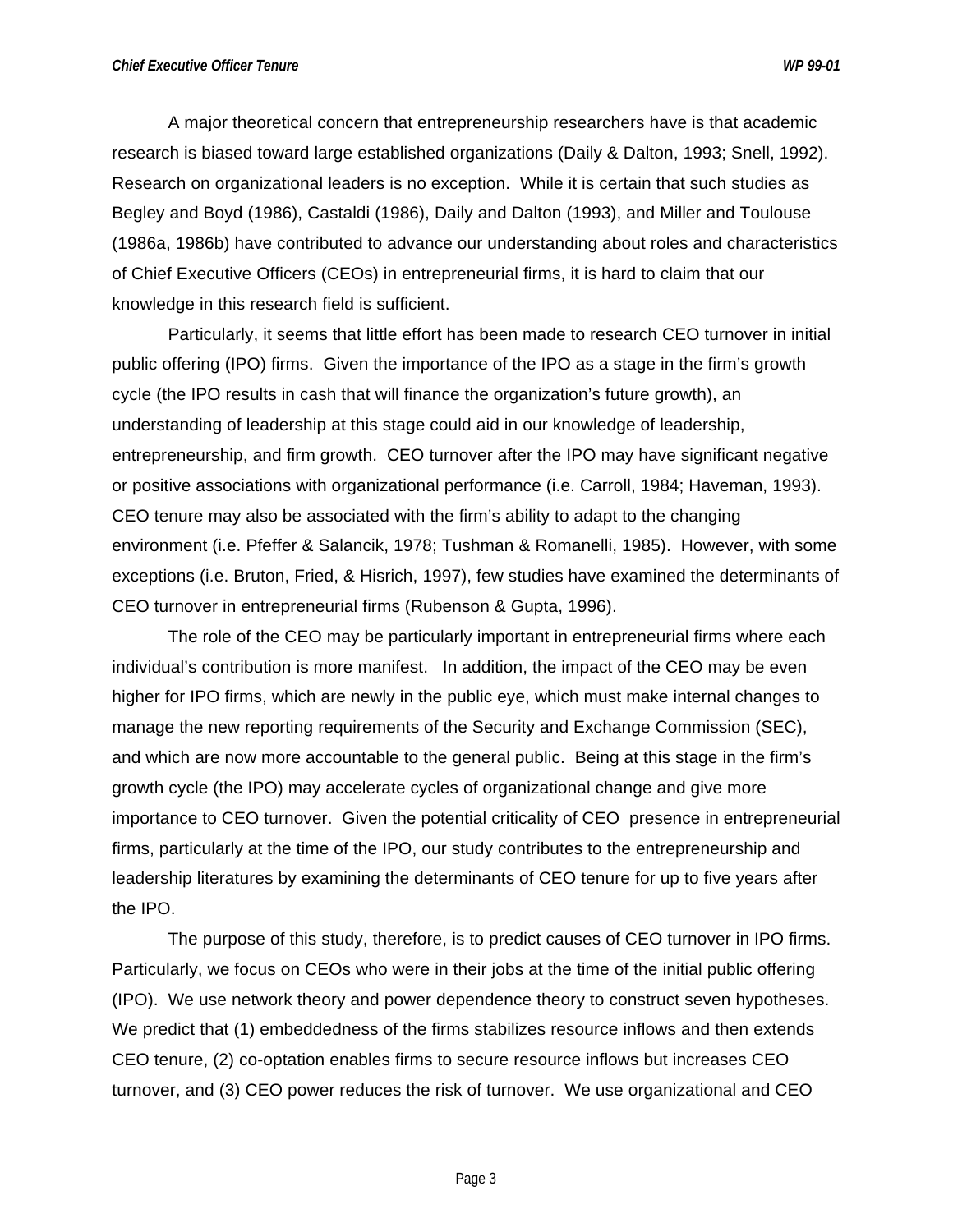A major theoretical concern that entrepreneurship researchers have is that academic research is biased toward large established organizations (Daily & Dalton, 1993; Snell, 1992). Research on organizational leaders is no exception. While it is certain that such studies as Begley and Boyd (1986), Castaldi (1986), Daily and Dalton (1993), and Miller and Toulouse (1986a, 1986b) have contributed to advance our understanding about roles and characteristics of Chief Executive Officers (CEOs) in entrepreneurial firms, it is hard to claim that our knowledge in this research field is sufficient.

Particularly, it seems that little effort has been made to research CEO turnover in initial public offering (IPO) firms. Given the importance of the IPO as a stage in the firm's growth cycle (the IPO results in cash that will finance the organization's future growth), an understanding of leadership at this stage could aid in our knowledge of leadership, entrepreneurship, and firm growth. CEO turnover after the IPO may have significant negative or positive associations with organizational performance (i.e. Carroll, 1984; Haveman, 1993). CEO tenure may also be associated with the firm's ability to adapt to the changing environment (i.e. Pfeffer & Salancik, 1978; Tushman & Romanelli, 1985). However, with some exceptions (i.e. Bruton, Fried, & Hisrich, 1997), few studies have examined the determinants of CEO turnover in entrepreneurial firms (Rubenson & Gupta, 1996).

The role of the CEO may be particularly important in entrepreneurial firms where each individual's contribution is more manifest. In addition, the impact of the CEO may be even higher for IPO firms, which are newly in the public eye, which must make internal changes to manage the new reporting requirements of the Security and Exchange Commission (SEC), and which are now more accountable to the general public. Being at this stage in the firm's growth cycle (the IPO) may accelerate cycles of organizational change and give more importance to CEO turnover. Given the potential criticality of CEO presence in entrepreneurial firms, particularly at the time of the IPO, our study contributes to the entrepreneurship and leadership literatures by examining the determinants of CEO tenure for up to five years after the IPO.

The purpose of this study, therefore, is to predict causes of CEO turnover in IPO firms. Particularly, we focus on CEOs who were in their jobs at the time of the initial public offering (IPO). We use network theory and power dependence theory to construct seven hypotheses. We predict that (1) embeddedness of the firms stabilizes resource inflows and then extends CEO tenure, (2) co-optation enables firms to secure resource inflows but increases CEO turnover, and (3) CEO power reduces the risk of turnover. We use organizational and CEO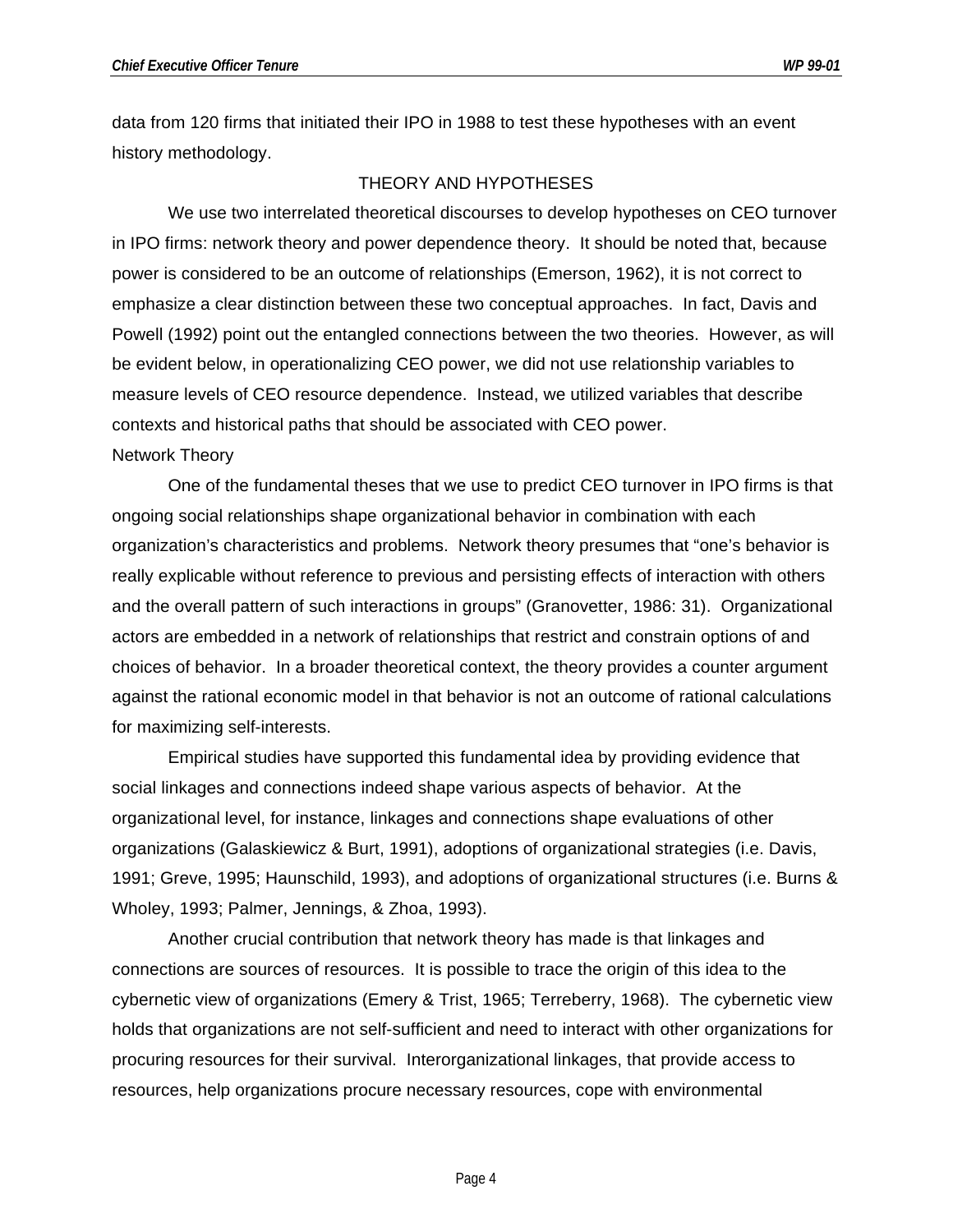data from 120 firms that initiated their IPO in 1988 to test these hypotheses with an event history methodology.

#### THEORY AND HYPOTHESES

We use two interrelated theoretical discourses to develop hypotheses on CEO turnover in IPO firms: network theory and power dependence theory. It should be noted that, because power is considered to be an outcome of relationships (Emerson, 1962), it is not correct to emphasize a clear distinction between these two conceptual approaches. In fact, Davis and Powell (1992) point out the entangled connections between the two theories. However, as will be evident below, in operationalizing CEO power, we did not use relationship variables to measure levels of CEO resource dependence. Instead, we utilized variables that describe contexts and historical paths that should be associated with CEO power.

#### Network Theory

One of the fundamental theses that we use to predict CEO turnover in IPO firms is that ongoing social relationships shape organizational behavior in combination with each organization's characteristics and problems. Network theory presumes that "one's behavior is really explicable without reference to previous and persisting effects of interaction with others and the overall pattern of such interactions in groups" (Granovetter, 1986: 31). Organizational actors are embedded in a network of relationships that restrict and constrain options of and choices of behavior. In a broader theoretical context, the theory provides a counter argument against the rational economic model in that behavior is not an outcome of rational calculations for maximizing self-interests.

Empirical studies have supported this fundamental idea by providing evidence that social linkages and connections indeed shape various aspects of behavior. At the organizational level, for instance, linkages and connections shape evaluations of other organizations (Galaskiewicz & Burt, 1991), adoptions of organizational strategies (i.e. Davis, 1991; Greve, 1995; Haunschild, 1993), and adoptions of organizational structures (i.e. Burns & Wholey, 1993; Palmer, Jennings, & Zhoa, 1993).

Another crucial contribution that network theory has made is that linkages and connections are sources of resources. It is possible to trace the origin of this idea to the cybernetic view of organizations (Emery & Trist, 1965; Terreberry, 1968). The cybernetic view holds that organizations are not self-sufficient and need to interact with other organizations for procuring resources for their survival. Interorganizational linkages, that provide access to resources, help organizations procure necessary resources, cope with environmental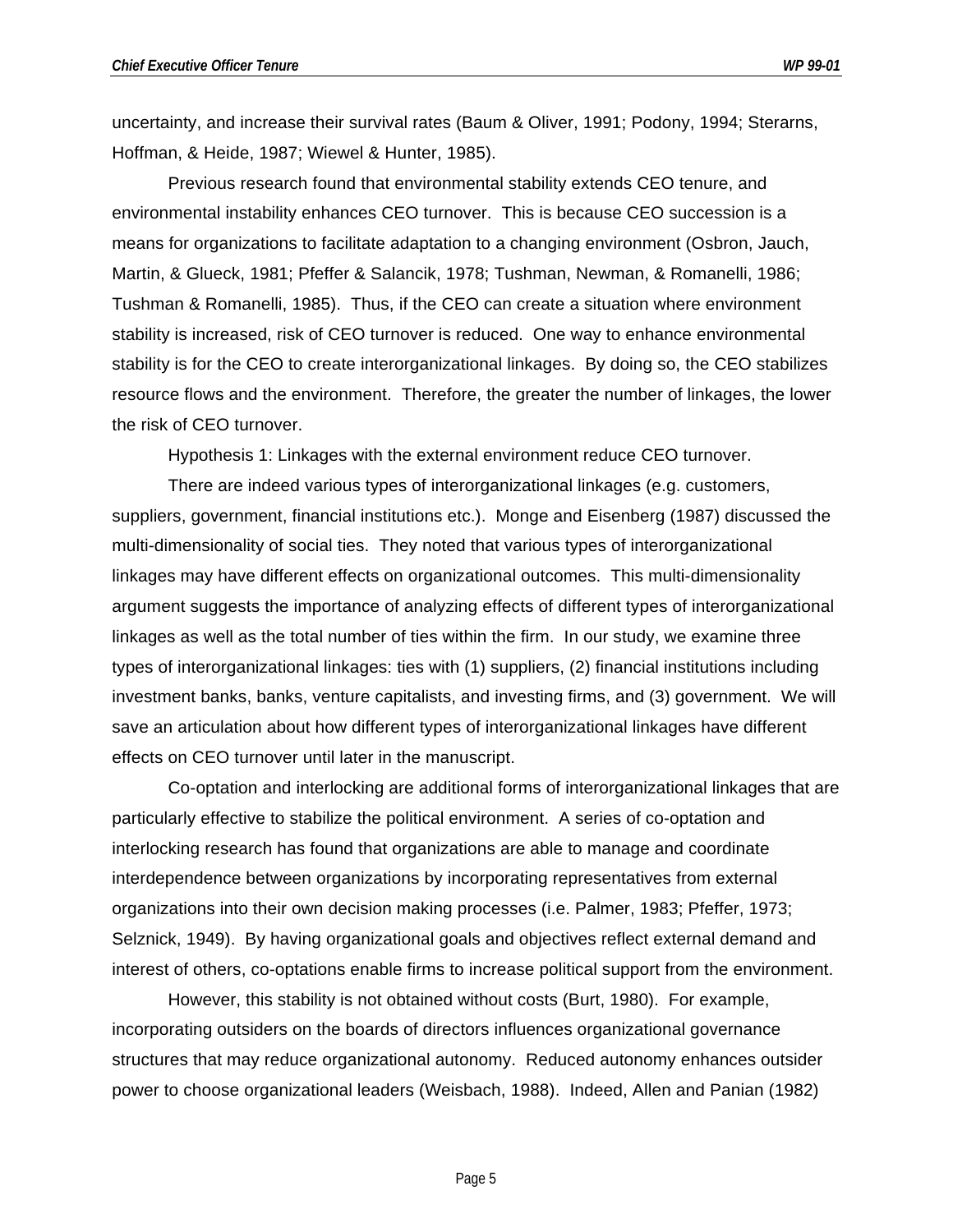uncertainty, and increase their survival rates (Baum & Oliver, 1991; Podony, 1994; Sterarns, Hoffman, & Heide, 1987; Wiewel & Hunter, 1985).

Previous research found that environmental stability extends CEO tenure, and environmental instability enhances CEO turnover. This is because CEO succession is a means for organizations to facilitate adaptation to a changing environment (Osbron, Jauch, Martin, & Glueck, 1981; Pfeffer & Salancik, 1978; Tushman, Newman, & Romanelli, 1986; Tushman & Romanelli, 1985). Thus, if the CEO can create a situation where environment stability is increased, risk of CEO turnover is reduced. One way to enhance environmental stability is for the CEO to create interorganizational linkages. By doing so, the CEO stabilizes resource flows and the environment. Therefore, the greater the number of linkages, the lower the risk of CEO turnover.

Hypothesis 1: Linkages with the external environment reduce CEO turnover.

There are indeed various types of interorganizational linkages (e.g. customers, suppliers, government, financial institutions etc.). Monge and Eisenberg (1987) discussed the multi-dimensionality of social ties. They noted that various types of interorganizational linkages may have different effects on organizational outcomes. This multi-dimensionality argument suggests the importance of analyzing effects of different types of interorganizational linkages as well as the total number of ties within the firm. In our study, we examine three types of interorganizational linkages: ties with (1) suppliers, (2) financial institutions including investment banks, banks, venture capitalists, and investing firms, and (3) government. We will save an articulation about how different types of interorganizational linkages have different effects on CEO turnover until later in the manuscript.

Co-optation and interlocking are additional forms of interorganizational linkages that are particularly effective to stabilize the political environment. A series of co-optation and interlocking research has found that organizations are able to manage and coordinate interdependence between organizations by incorporating representatives from external organizations into their own decision making processes (i.e. Palmer, 1983; Pfeffer, 1973; Selznick, 1949). By having organizational goals and objectives reflect external demand and interest of others, co-optations enable firms to increase political support from the environment.

However, this stability is not obtained without costs (Burt, 1980). For example, incorporating outsiders on the boards of directors influences organizational governance structures that may reduce organizational autonomy. Reduced autonomy enhances outsider power to choose organizational leaders (Weisbach, 1988). Indeed, Allen and Panian (1982)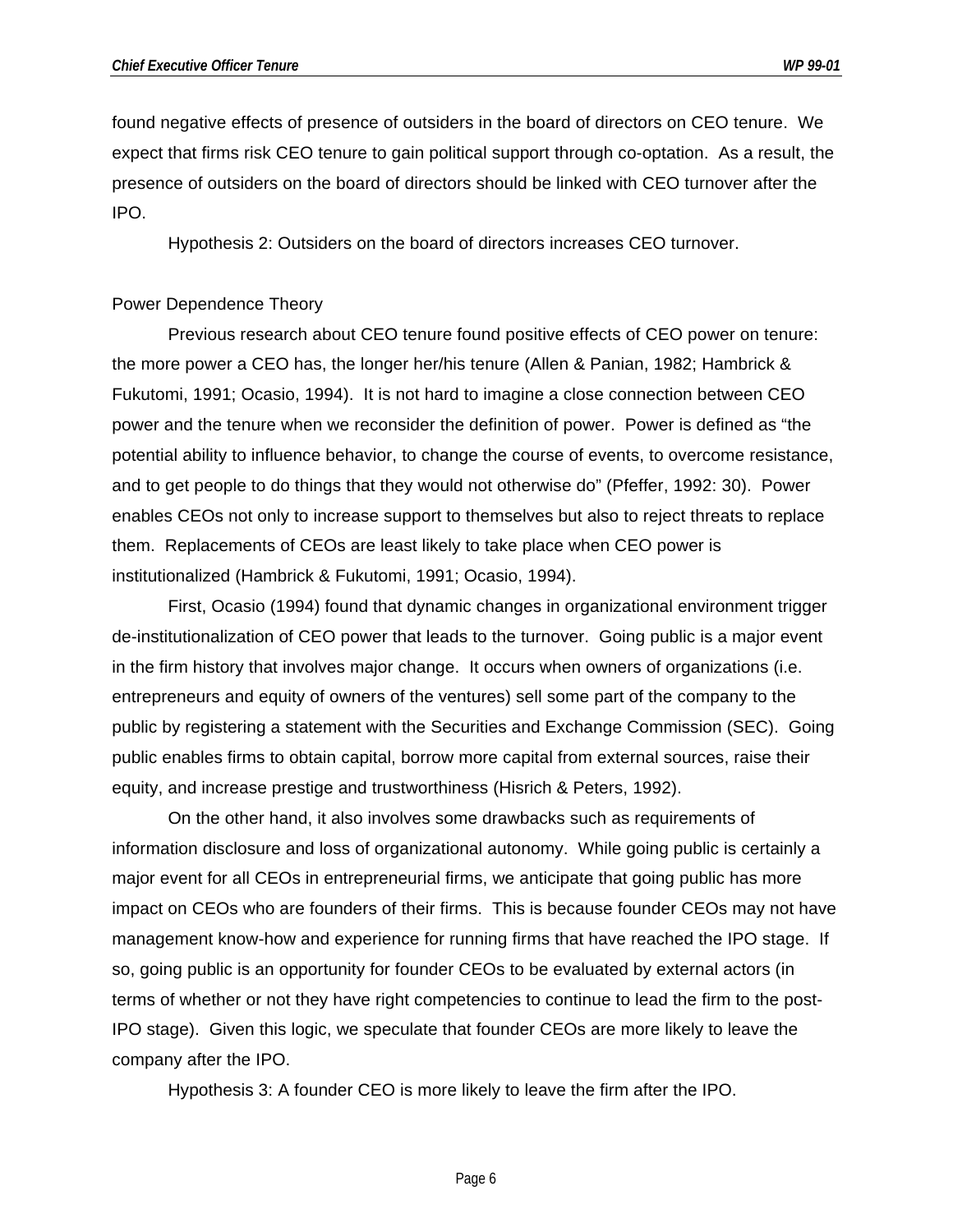found negative effects of presence of outsiders in the board of directors on CEO tenure. We expect that firms risk CEO tenure to gain political support through co-optation. As a result, the presence of outsiders on the board of directors should be linked with CEO turnover after the IPO.

Hypothesis 2: Outsiders on the board of directors increases CEO turnover.

#### Power Dependence Theory

Previous research about CEO tenure found positive effects of CEO power on tenure: the more power a CEO has, the longer her/his tenure (Allen & Panian, 1982; Hambrick & Fukutomi, 1991; Ocasio, 1994). It is not hard to imagine a close connection between CEO power and the tenure when we reconsider the definition of power. Power is defined as "the potential ability to influence behavior, to change the course of events, to overcome resistance, and to get people to do things that they would not otherwise do" (Pfeffer, 1992: 30). Power enables CEOs not only to increase support to themselves but also to reject threats to replace them. Replacements of CEOs are least likely to take place when CEO power is institutionalized (Hambrick & Fukutomi, 1991; Ocasio, 1994).

First, Ocasio (1994) found that dynamic changes in organizational environment trigger de-institutionalization of CEO power that leads to the turnover. Going public is a major event in the firm history that involves major change. It occurs when owners of organizations (i.e. entrepreneurs and equity of owners of the ventures) sell some part of the company to the public by registering a statement with the Securities and Exchange Commission (SEC). Going public enables firms to obtain capital, borrow more capital from external sources, raise their equity, and increase prestige and trustworthiness (Hisrich & Peters, 1992).

On the other hand, it also involves some drawbacks such as requirements of information disclosure and loss of organizational autonomy. While going public is certainly a major event for all CEOs in entrepreneurial firms, we anticipate that going public has more impact on CEOs who are founders of their firms. This is because founder CEOs may not have management know-how and experience for running firms that have reached the IPO stage. If so, going public is an opportunity for founder CEOs to be evaluated by external actors (in terms of whether or not they have right competencies to continue to lead the firm to the post-IPO stage). Given this logic, we speculate that founder CEOs are more likely to leave the company after the IPO.

Hypothesis 3: A founder CEO is more likely to leave the firm after the IPO.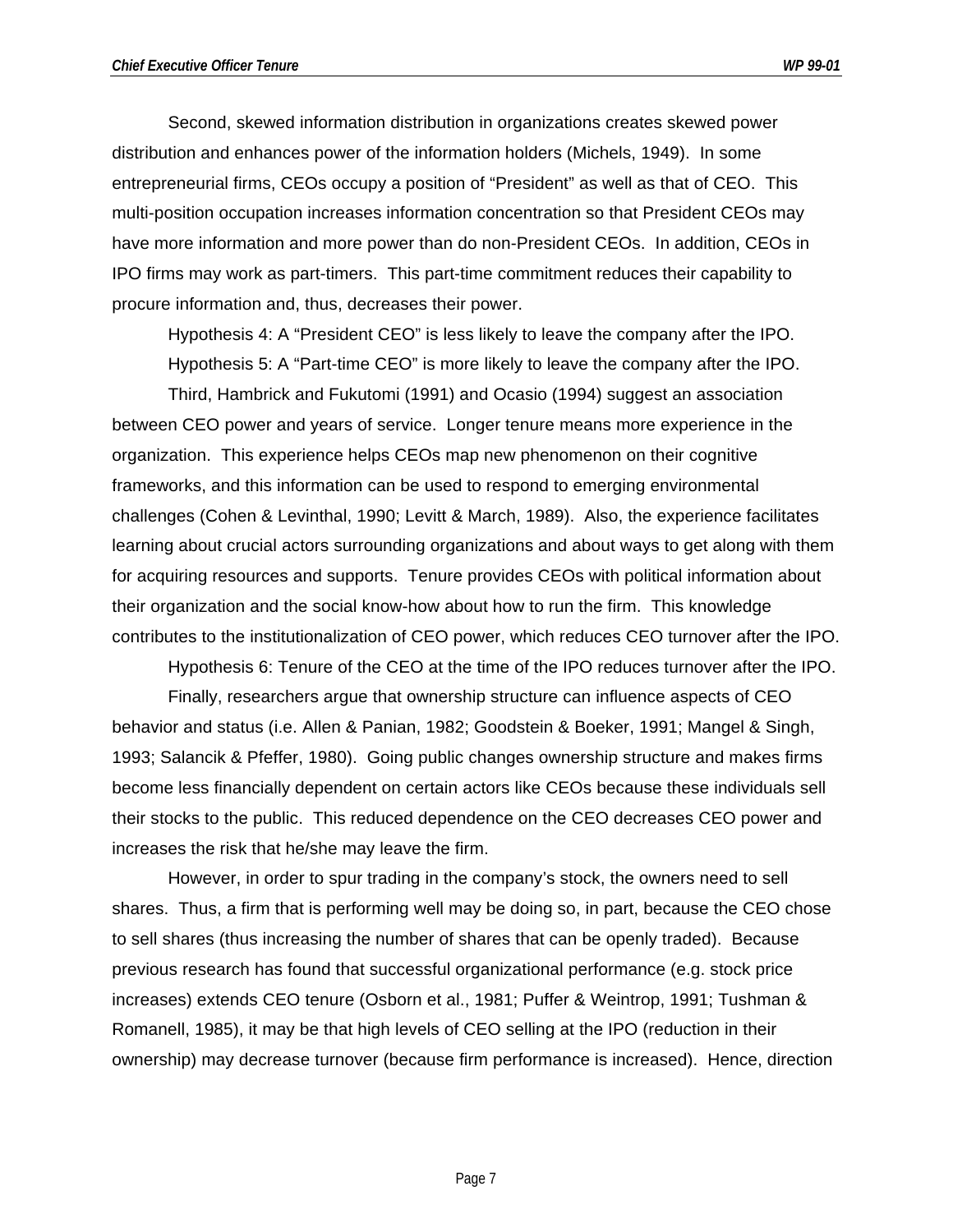Second, skewed information distribution in organizations creates skewed power distribution and enhances power of the information holders (Michels, 1949). In some entrepreneurial firms, CEOs occupy a position of "President" as well as that of CEO. This multi-position occupation increases information concentration so that President CEOs may have more information and more power than do non-President CEOs. In addition, CEOs in IPO firms may work as part-timers. This part-time commitment reduces their capability to procure information and, thus, decreases their power.

Hypothesis 4: A "President CEO" is less likely to leave the company after the IPO. Hypothesis 5: A "Part-time CEO" is more likely to leave the company after the IPO.

Third, Hambrick and Fukutomi (1991) and Ocasio (1994) suggest an association between CEO power and years of service. Longer tenure means more experience in the organization. This experience helps CEOs map new phenomenon on their cognitive frameworks, and this information can be used to respond to emerging environmental challenges (Cohen & Levinthal, 1990; Levitt & March, 1989). Also, the experience facilitates learning about crucial actors surrounding organizations and about ways to get along with them for acquiring resources and supports. Tenure provides CEOs with political information about their organization and the social know-how about how to run the firm. This knowledge contributes to the institutionalization of CEO power, which reduces CEO turnover after the IPO.

Hypothesis 6: Tenure of the CEO at the time of the IPO reduces turnover after the IPO.

Finally, researchers argue that ownership structure can influence aspects of CEO behavior and status (i.e. Allen & Panian, 1982; Goodstein & Boeker, 1991; Mangel & Singh, 1993; Salancik & Pfeffer, 1980). Going public changes ownership structure and makes firms become less financially dependent on certain actors like CEOs because these individuals sell their stocks to the public. This reduced dependence on the CEO decreases CEO power and increases the risk that he/she may leave the firm.

However, in order to spur trading in the company's stock, the owners need to sell shares. Thus, a firm that is performing well may be doing so, in part, because the CEO chose to sell shares (thus increasing the number of shares that can be openly traded). Because previous research has found that successful organizational performance (e.g. stock price increases) extends CEO tenure (Osborn et al., 1981; Puffer & Weintrop, 1991; Tushman & Romanell, 1985), it may be that high levels of CEO selling at the IPO (reduction in their ownership) may decrease turnover (because firm performance is increased). Hence, direction

Page 7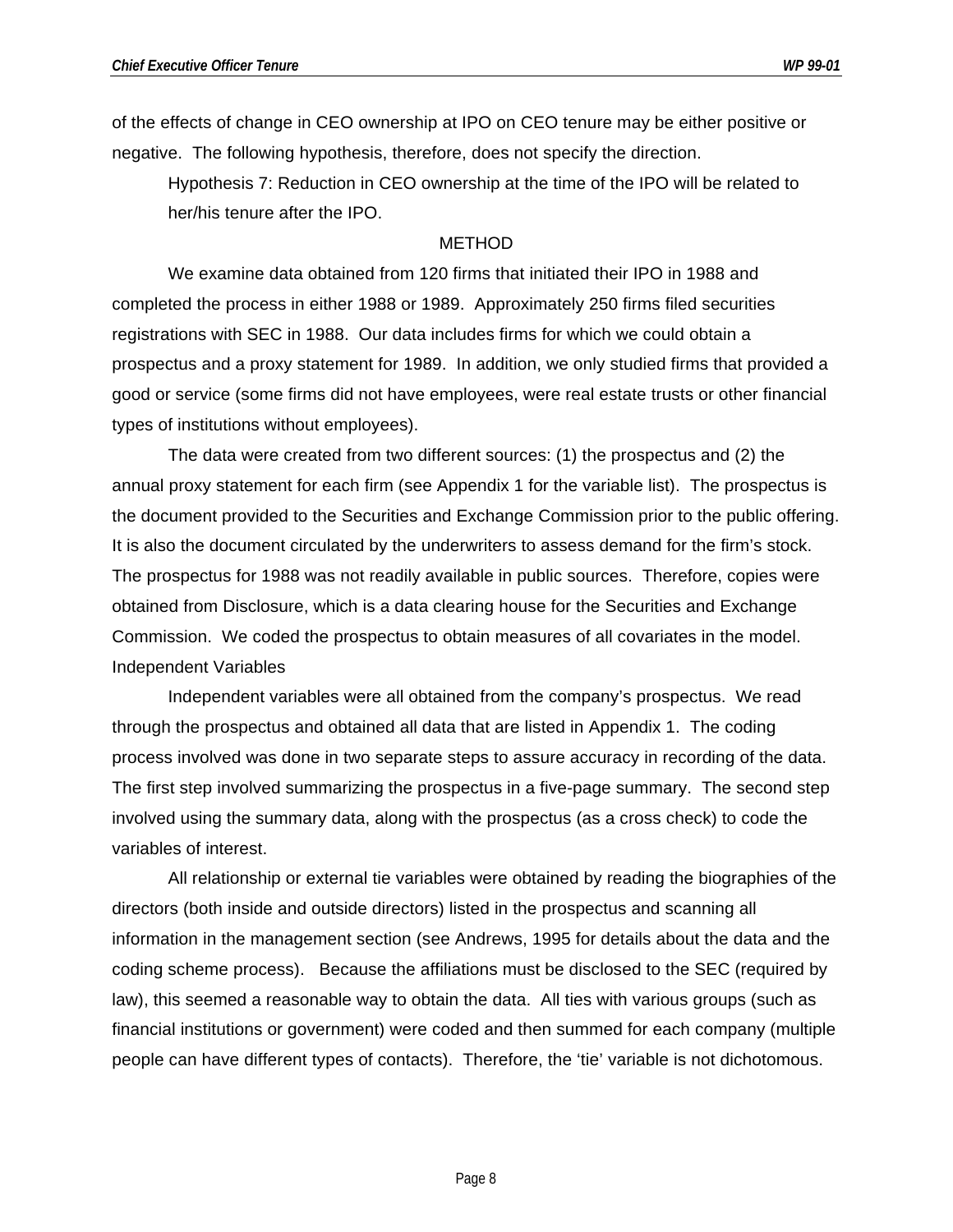of the effects of change in CEO ownership at IPO on CEO tenure may be either positive or negative. The following hypothesis, therefore, does not specify the direction.

Hypothesis 7: Reduction in CEO ownership at the time of the IPO will be related to her/his tenure after the IPO.

#### METHOD

We examine data obtained from 120 firms that initiated their IPO in 1988 and completed the process in either 1988 or 1989. Approximately 250 firms filed securities registrations with SEC in 1988. Our data includes firms for which we could obtain a prospectus and a proxy statement for 1989. In addition, we only studied firms that provided a good or service (some firms did not have employees, were real estate trusts or other financial types of institutions without employees).

The data were created from two different sources: (1) the prospectus and (2) the annual proxy statement for each firm (see Appendix 1 for the variable list). The prospectus is the document provided to the Securities and Exchange Commission prior to the public offering. It is also the document circulated by the underwriters to assess demand for the firm's stock. The prospectus for 1988 was not readily available in public sources. Therefore, copies were obtained from Disclosure, which is a data clearing house for the Securities and Exchange Commission. We coded the prospectus to obtain measures of all covariates in the model. Independent Variables

Independent variables were all obtained from the company's prospectus. We read through the prospectus and obtained all data that are listed in Appendix 1. The coding process involved was done in two separate steps to assure accuracy in recording of the data. The first step involved summarizing the prospectus in a five-page summary. The second step involved using the summary data, along with the prospectus (as a cross check) to code the variables of interest.

All relationship or external tie variables were obtained by reading the biographies of the directors (both inside and outside directors) listed in the prospectus and scanning all information in the management section (see Andrews, 1995 for details about the data and the coding scheme process). Because the affiliations must be disclosed to the SEC (required by law), this seemed a reasonable way to obtain the data. All ties with various groups (such as financial institutions or government) were coded and then summed for each company (multiple people can have different types of contacts). Therefore, the 'tie' variable is not dichotomous.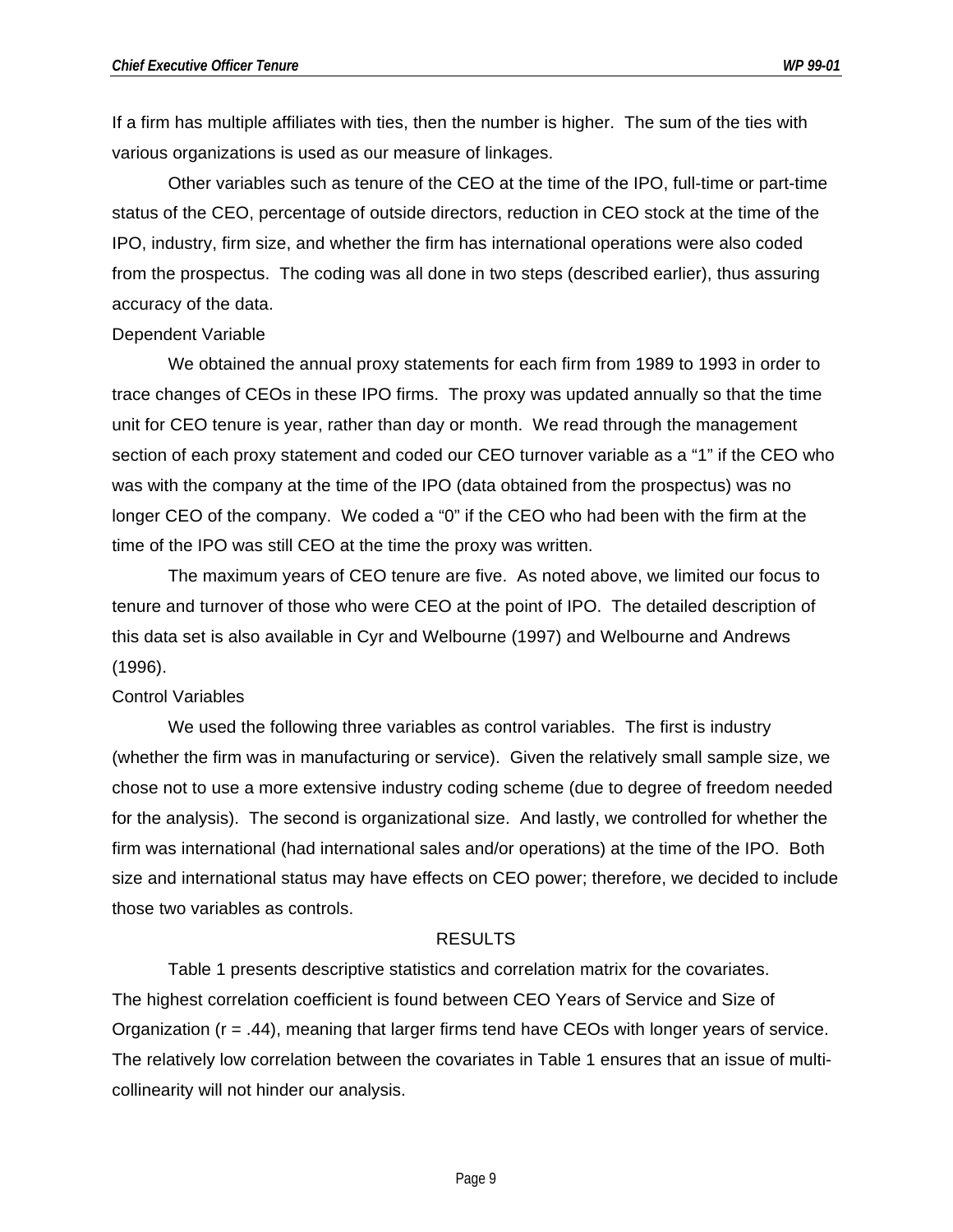If a firm has multiple affiliates with ties, then the number is higher. The sum of the ties with various organizations is used as our measure of linkages.

Other variables such as tenure of the CEO at the time of the IPO, full-time or part-time status of the CEO, percentage of outside directors, reduction in CEO stock at the time of the IPO, industry, firm size, and whether the firm has international operations were also coded from the prospectus. The coding was all done in two steps (described earlier), thus assuring accuracy of the data.

#### Dependent Variable

We obtained the annual proxy statements for each firm from 1989 to 1993 in order to trace changes of CEOs in these IPO firms. The proxy was updated annually so that the time unit for CEO tenure is year, rather than day or month. We read through the management section of each proxy statement and coded our CEO turnover variable as a "1" if the CEO who was with the company at the time of the IPO (data obtained from the prospectus) was no longer CEO of the company. We coded a "0" if the CEO who had been with the firm at the time of the IPO was still CEO at the time the proxy was written.

The maximum years of CEO tenure are five. As noted above, we limited our focus to tenure and turnover of those who were CEO at the point of IPO. The detailed description of this data set is also available in Cyr and Welbourne (1997) and Welbourne and Andrews (1996).

#### Control Variables

We used the following three variables as control variables. The first is industry (whether the firm was in manufacturing or service). Given the relatively small sample size, we chose not to use a more extensive industry coding scheme (due to degree of freedom needed for the analysis). The second is organizational size. And lastly, we controlled for whether the firm was international (had international sales and/or operations) at the time of the IPO. Both size and international status may have effects on CEO power; therefore, we decided to include those two variables as controls.

#### RESULTS

Table 1 presents descriptive statistics and correlation matrix for the covariates. The highest correlation coefficient is found between CEO Years of Service and Size of Organization (r = .44), meaning that larger firms tend have CEOs with longer years of service. The relatively low correlation between the covariates in Table 1 ensures that an issue of multicollinearity will not hinder our analysis.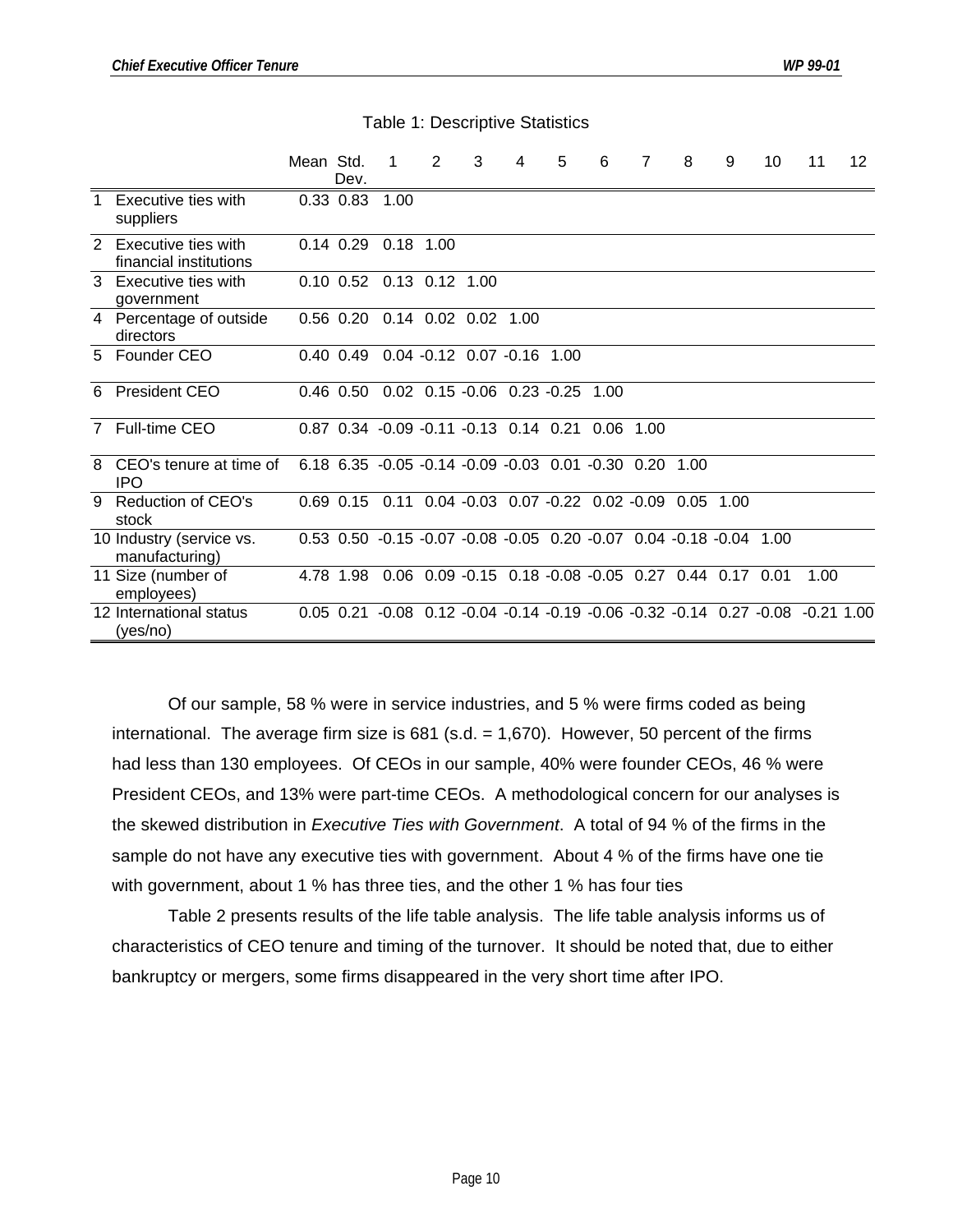|   |                                               | Mean Std. | Dev.          | -1                                                                 | $\overline{2}$ | 3 | 4                                                    | 5 | 6    | $\overline{7}$ | 8           | 9 | 10 | 11                                                                             | 12 |
|---|-----------------------------------------------|-----------|---------------|--------------------------------------------------------------------|----------------|---|------------------------------------------------------|---|------|----------------|-------------|---|----|--------------------------------------------------------------------------------|----|
| 1 | Executive ties with<br>suppliers              |           | $0.33$ $0.83$ | 1.00                                                               |                |   |                                                      |   |      |                |             |   |    |                                                                                |    |
| 2 | Executive ties with<br>financial institutions |           | $0.14$ 0.29   | $0.18$ 1.00                                                        |                |   |                                                      |   |      |                |             |   |    |                                                                                |    |
|   | 3 Executive ties with<br>government           |           |               | 0.10 0.52 0.13 0.12 1.00                                           |                |   |                                                      |   |      |                |             |   |    |                                                                                |    |
|   | 4 Percentage of outside<br>directors          |           |               | 0.56 0.20 0.14 0.02 0.02 1.00                                      |                |   |                                                      |   |      |                |             |   |    |                                                                                |    |
|   | 5 Founder CEO                                 |           | $0.40\;0.49$  |                                                                    |                |   | $0.04 -0.12$ 0.07 $-0.16$ 1.00                       |   |      |                |             |   |    |                                                                                |    |
|   | 6 President CEO                               |           | $0.46$ $0.50$ |                                                                    |                |   | $0.02$ $0.15 - 0.06$ $0.23 - 0.25$                   |   | 1.00 |                |             |   |    |                                                                                |    |
|   | 7 Full-time CEO                               |           |               | 0.87 0.34 -0.09 -0.11 -0.13 0.14 0.21 0.06 1.00                    |                |   |                                                      |   |      |                |             |   |    |                                                                                |    |
| 8 | CEO's tenure at time of<br>IPO                |           |               | 6.18 6.35 -0.05 -0.14 -0.09 -0.03 0.01 -0.30 0.20                  |                |   |                                                      |   |      |                | 1.00        |   |    |                                                                                |    |
| 9 | <b>Reduction of CEO's</b><br>stock            |           |               | 0.69 0.15 0.11 0.04 -0.03 0.07 -0.22 0.02 -0.09                    |                |   |                                                      |   |      |                | $0.05$ 1.00 |   |    |                                                                                |    |
|   | 10 Industry (service vs.<br>manufacturing)    |           |               | 0.53 0.50 -0.15 -0.07 -0.08 -0.05 0.20 -0.07 0.04 -0.18 -0.04 1.00 |                |   |                                                      |   |      |                |             |   |    |                                                                                |    |
|   | 11 Size (number of<br>employees)              |           | 4.78 1.98     |                                                                    |                |   | 0.06 0.09 -0.15 0.18 -0.08 -0.05 0.27 0.44 0.17 0.01 |   |      |                |             |   |    | 1.00                                                                           |    |
|   | 12 International status<br>(yes/no)           |           |               |                                                                    |                |   |                                                      |   |      |                |             |   |    | 0.05 0.21 -0.08 0.12 -0.04 -0.14 -0.19 -0.06 -0.32 -0.14 0.27 -0.08 -0.21 1.00 |    |

Table 1: Descriptive Statistics

Of our sample, 58 % were in service industries, and 5 % were firms coded as being international. The average firm size is 681 (s.d. = 1,670). However, 50 percent of the firms had less than 130 employees. Of CEOs in our sample, 40% were founder CEOs, 46 % were President CEOs, and 13% were part-time CEOs. A methodological concern for our analyses is the skewed distribution in *Executive Ties with Government*. A total of 94 % of the firms in the sample do not have any executive ties with government. About 4 % of the firms have one tie with government, about 1 % has three ties, and the other 1 % has four ties

Table 2 presents results of the life table analysis. The life table analysis informs us of characteristics of CEO tenure and timing of the turnover. It should be noted that, due to either bankruptcy or mergers, some firms disappeared in the very short time after IPO.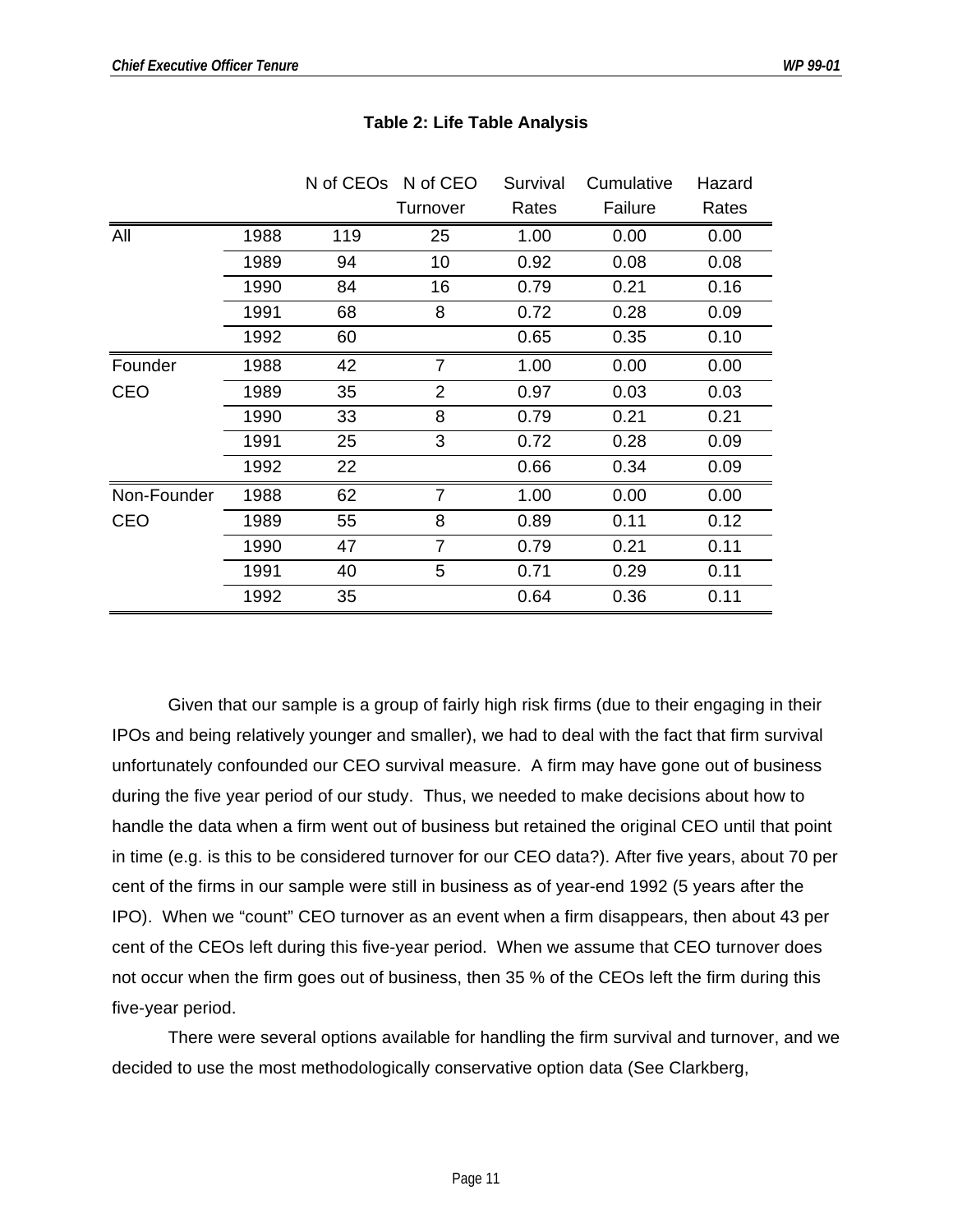|             |      | N of CEO <sub>s</sub> N of CEO |                | Survival | Cumulative | Hazard |
|-------------|------|--------------------------------|----------------|----------|------------|--------|
|             |      |                                | Turnover       | Rates    | Failure    | Rates  |
| All         | 1988 | 119                            | 25             | 1.00     | 0.00       | 0.00   |
|             | 1989 | 94                             | 10             | 0.92     | 0.08       | 0.08   |
|             | 1990 | 84                             | 16             | 0.79     | 0.21       | 0.16   |
|             | 1991 | 68                             | 8              | 0.72     | 0.28       | 0.09   |
|             | 1992 | 60                             |                | 0.65     | 0.35       | 0.10   |
| Founder     | 1988 | 42                             | 7              | 1.00     | 0.00       | 0.00   |
| <b>CEO</b>  | 1989 | 35                             | $\overline{2}$ | 0.97     | 0.03       | 0.03   |
|             | 1990 | 33                             | 8              | 0.79     | 0.21       | 0.21   |
|             | 1991 | 25                             | 3              | 0.72     | 0.28       | 0.09   |
|             | 1992 | 22                             |                | 0.66     | 0.34       | 0.09   |
| Non-Founder | 1988 | 62                             | $\overline{7}$ | 1.00     | 0.00       | 0.00   |
| <b>CEO</b>  | 1989 | 55                             | 8              | 0.89     | 0.11       | 0.12   |
|             | 1990 | 47                             | $\overline{7}$ | 0.79     | 0.21       | 0.11   |
|             | 1991 | 40                             | 5              | 0.71     | 0.29       | 0.11   |
|             | 1992 | 35                             |                | 0.64     | 0.36       | 0.11   |

#### **Table 2: Life Table Analysis**

Given that our sample is a group of fairly high risk firms (due to their engaging in their IPOs and being relatively younger and smaller), we had to deal with the fact that firm survival unfortunately confounded our CEO survival measure. A firm may have gone out of business during the five year period of our study. Thus, we needed to make decisions about how to handle the data when a firm went out of business but retained the original CEO until that point in time (e.g. is this to be considered turnover for our CEO data?). After five years, about 70 per cent of the firms in our sample were still in business as of year-end 1992 (5 years after the IPO). When we "count" CEO turnover as an event when a firm disappears, then about 43 per cent of the CEOs left during this five-year period. When we assume that CEO turnover does not occur when the firm goes out of business, then 35 % of the CEOs left the firm during this five-year period.

There were several options available for handling the firm survival and turnover, and we decided to use the most methodologically conservative option data (See Clarkberg,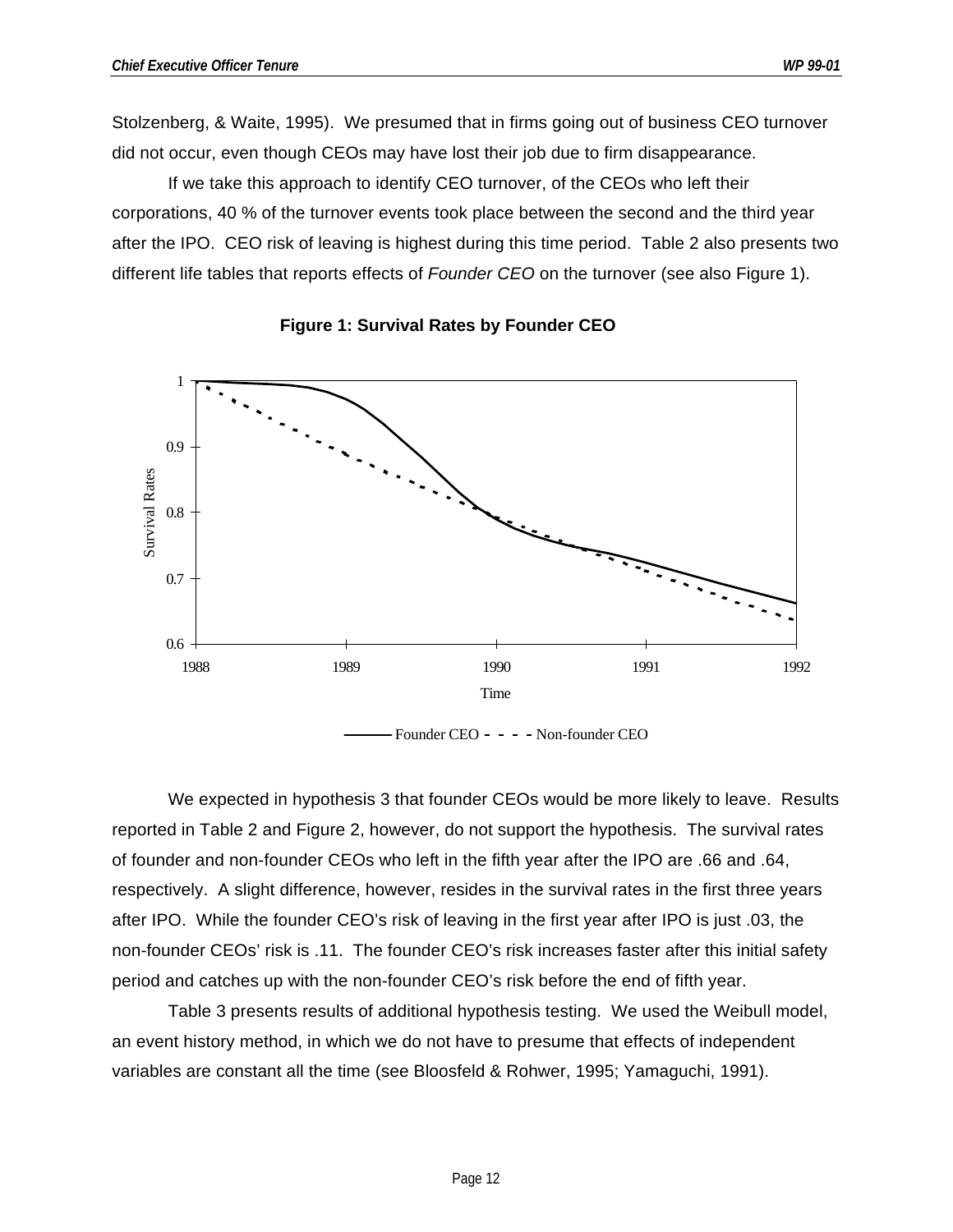Stolzenberg, & Waite, 1995). We presumed that in firms going out of business CEO turnover did not occur, even though CEOs may have lost their job due to firm disappearance.

If we take this approach to identify CEO turnover, of the CEOs who left their corporations, 40 % of the turnover events took place between the second and the third year after the IPO. CEO risk of leaving is highest during this time period. Table 2 also presents two different life tables that reports effects of *Founder CEO* on the turnover (see also Figure 1).





Founder CEO - - - - Non-founder CEO

We expected in hypothesis 3 that founder CEOs would be more likely to leave. Results reported in Table 2 and Figure 2, however, do not support the hypothesis. The survival rates of founder and non-founder CEOs who left in the fifth year after the IPO are .66 and .64, respectively. A slight difference, however, resides in the survival rates in the first three years after IPO. While the founder CEO's risk of leaving in the first year after IPO is just .03, the non-founder CEOs' risk is .11. The founder CEO's risk increases faster after this initial safety period and catches up with the non-founder CEO's risk before the end of fifth year.

Table 3 presents results of additional hypothesis testing. We used the Weibull model, an event history method, in which we do not have to presume that effects of independent variables are constant all the time (see Bloosfeld & Rohwer, 1995; Yamaguchi, 1991).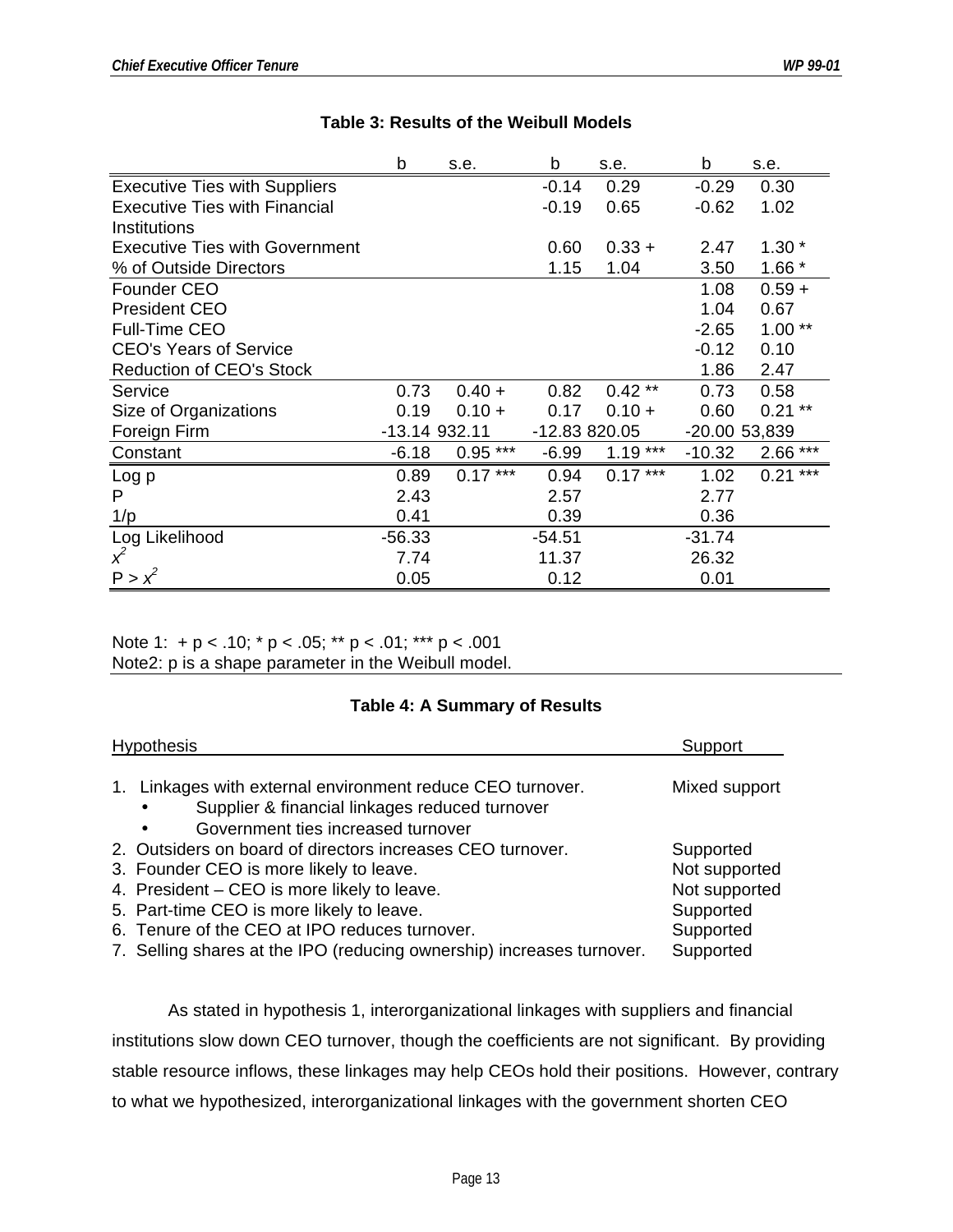|                                       | b             | s.e.      | b             | s.e.      | b             | s.e.      |
|---------------------------------------|---------------|-----------|---------------|-----------|---------------|-----------|
| <b>Executive Ties with Suppliers</b>  |               |           | $-0.14$       | 0.29      | $-0.29$       | 0.30      |
| <b>Executive Ties with Financial</b>  |               |           | $-0.19$       | 0.65      | $-0.62$       | 1.02      |
| <b>Institutions</b>                   |               |           |               |           |               |           |
| <b>Executive Ties with Government</b> |               |           | 0.60          | $0.33 +$  | 2.47          | $1.30*$   |
| % of Outside Directors                |               |           | 1.15          | 1.04      | 3.50          | $1.66*$   |
| Founder CEO                           |               |           |               |           | 1.08          | $0.59 +$  |
| <b>President CEO</b>                  |               |           |               |           | 1.04          | 0.67      |
| <b>Full-Time CEO</b>                  |               |           |               |           | $-2.65$       | $1.00**$  |
| <b>CEO's Years of Service</b>         |               |           |               |           | $-0.12$       | 0.10      |
| <b>Reduction of CEO's Stock</b>       |               |           |               |           | 1.86          | 2.47      |
| Service                               | 0.73          | $0.40 +$  | 0.82          | $0.42**$  | 0.73          | 0.58      |
| Size of Organizations                 | 0.19          | $0.10 +$  | 0.17          | $0.10 +$  | 0.60          | $0.21**$  |
| Foreign Firm                          | -13.14 932.11 |           | -12.83 820.05 |           | -20.00 53,839 |           |
| Constant                              | $-6.18$       | $0.95***$ | $-6.99$       | $1.19***$ | $-10.32$      | $2.66***$ |
| Log p                                 | 0.89          | $0.17***$ | 0.94          | $0.17***$ | 1.02          | $0.21***$ |
| P                                     | 2.43          |           | 2.57          |           | 2.77          |           |
| 1/p                                   | 0.41          |           | 0.39          |           | 0.36          |           |
| Log Likelihood                        | $-56.33$      |           | $-54.51$      |           | $-31.74$      |           |
| $x^2$                                 | 7.74          |           | 11.37         |           | 26.32         |           |
| $P > x^2$                             | 0.05          |           | 0.12          |           | 0.01          |           |

#### **Table 3: Results of the Weibull Models**

Note 1: +  $p < .10$ ; \*  $p < .05$ ; \*\*  $p < .01$ ; \*\*\*  $p < .001$ Note2: p is a shape parameter in the Weibull model.

#### **Table 4: A Summary of Results**

| <b>Hypothesis</b>                                                     | Support       |
|-----------------------------------------------------------------------|---------------|
|                                                                       |               |
| 1. Linkages with external environment reduce CEO turnover.            | Mixed support |
| Supplier & financial linkages reduced turnover<br>$\bullet$           |               |
| Government ties increased turnover<br>$\bullet$                       |               |
| 2. Outsiders on board of directors increases CEO turnover.            | Supported     |
| 3. Founder CEO is more likely to leave.                               | Not supported |
| 4. President – CEO is more likely to leave.                           | Not supported |
| 5. Part-time CEO is more likely to leave.                             | Supported     |
| 6. Tenure of the CEO at IPO reduces turnover.                         | Supported     |
| 7. Selling shares at the IPO (reducing ownership) increases turnover. | Supported     |

As stated in hypothesis 1, interorganizational linkages with suppliers and financial institutions slow down CEO turnover, though the coefficients are not significant. By providing stable resource inflows, these linkages may help CEOs hold their positions. However, contrary to what we hypothesized, interorganizational linkages with the government shorten CEO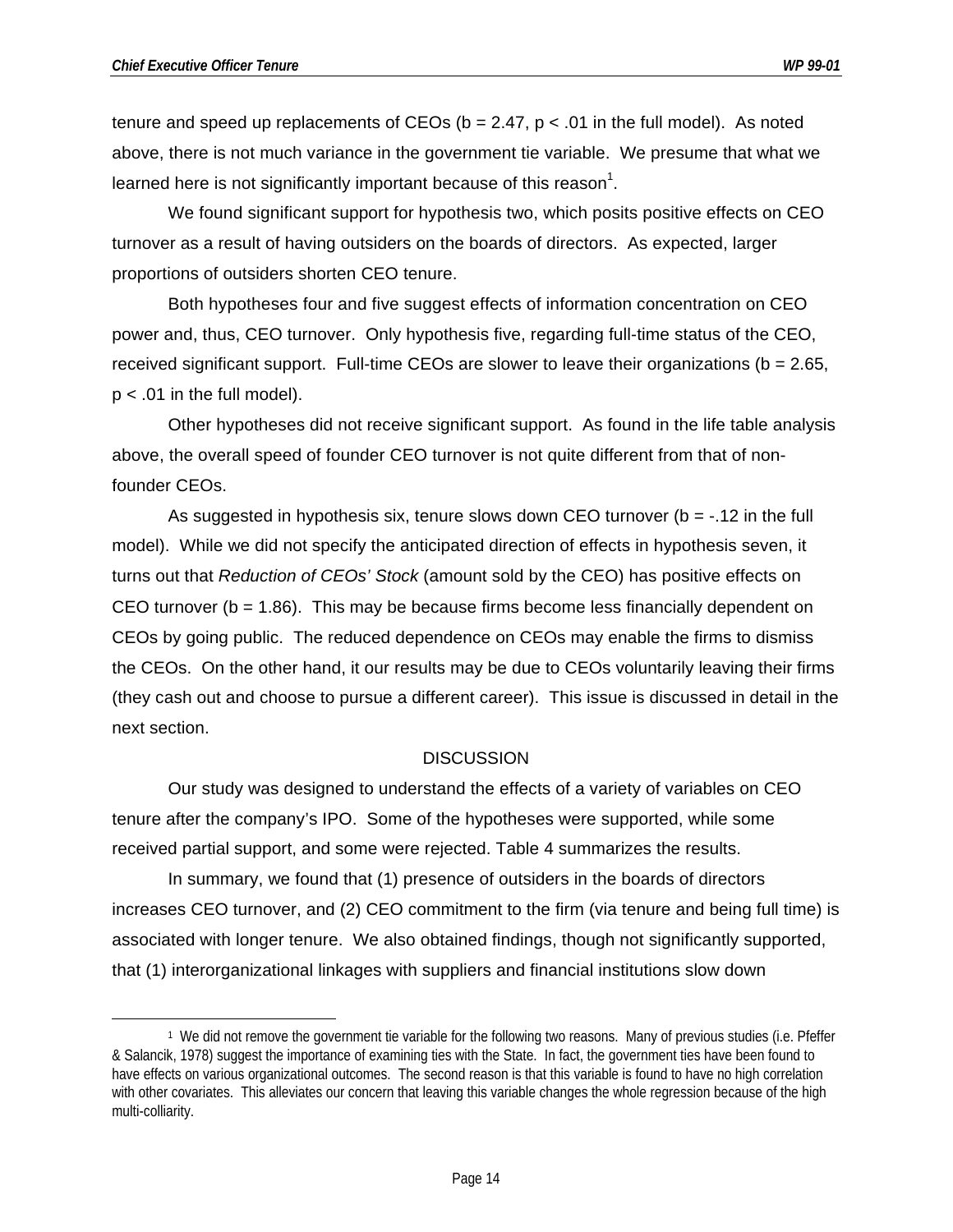$\overline{a}$ 

tenure and speed up replacements of CEOs ( $b = 2.47$ ,  $p < .01$  in the full model). As noted above, there is not much variance in the government tie variable. We presume that what we learned here is not significantly important because of this reason<sup>1</sup>.

We found significant support for hypothesis two, which posits positive effects on CEO turnover as a result of having outsiders on the boards of directors. As expected, larger proportions of outsiders shorten CEO tenure.

Both hypotheses four and five suggest effects of information concentration on CEO power and, thus, CEO turnover. Only hypothesis five, regarding full-time status of the CEO, received significant support. Full-time CEOs are slower to leave their organizations ( $b = 2.65$ ,  $p < .01$  in the full model).

Other hypotheses did not receive significant support. As found in the life table analysis above, the overall speed of founder CEO turnover is not quite different from that of nonfounder CEOs.

As suggested in hypothesis six, tenure slows down CEO turnover ( $b = -12$  in the full model). While we did not specify the anticipated direction of effects in hypothesis seven, it turns out that *Reduction of CEOs' Stock* (amount sold by the CEO) has positive effects on CEO turnover ( $b = 1.86$ ). This may be because firms become less financially dependent on CEOs by going public. The reduced dependence on CEOs may enable the firms to dismiss the CEOs. On the other hand, it our results may be due to CEOs voluntarily leaving their firms (they cash out and choose to pursue a different career). This issue is discussed in detail in the next section.

#### **DISCUSSION**

Our study was designed to understand the effects of a variety of variables on CEO tenure after the company's IPO. Some of the hypotheses were supported, while some received partial support, and some were rejected. Table 4 summarizes the results.

In summary, we found that (1) presence of outsiders in the boards of directors increases CEO turnover, and (2) CEO commitment to the firm (via tenure and being full time) is associated with longer tenure. We also obtained findings, though not significantly supported, that (1) interorganizational linkages with suppliers and financial institutions slow down

<sup>1</sup> We did not remove the government tie variable for the following two reasons. Many of previous studies (i.e. Pfeffer & Salancik, 1978) suggest the importance of examining ties with the State. In fact, the government ties have been found to have effects on various organizational outcomes. The second reason is that this variable is found to have no high correlation with other covariates. This alleviates our concern that leaving this variable changes the whole regression because of the high multi-colliarity.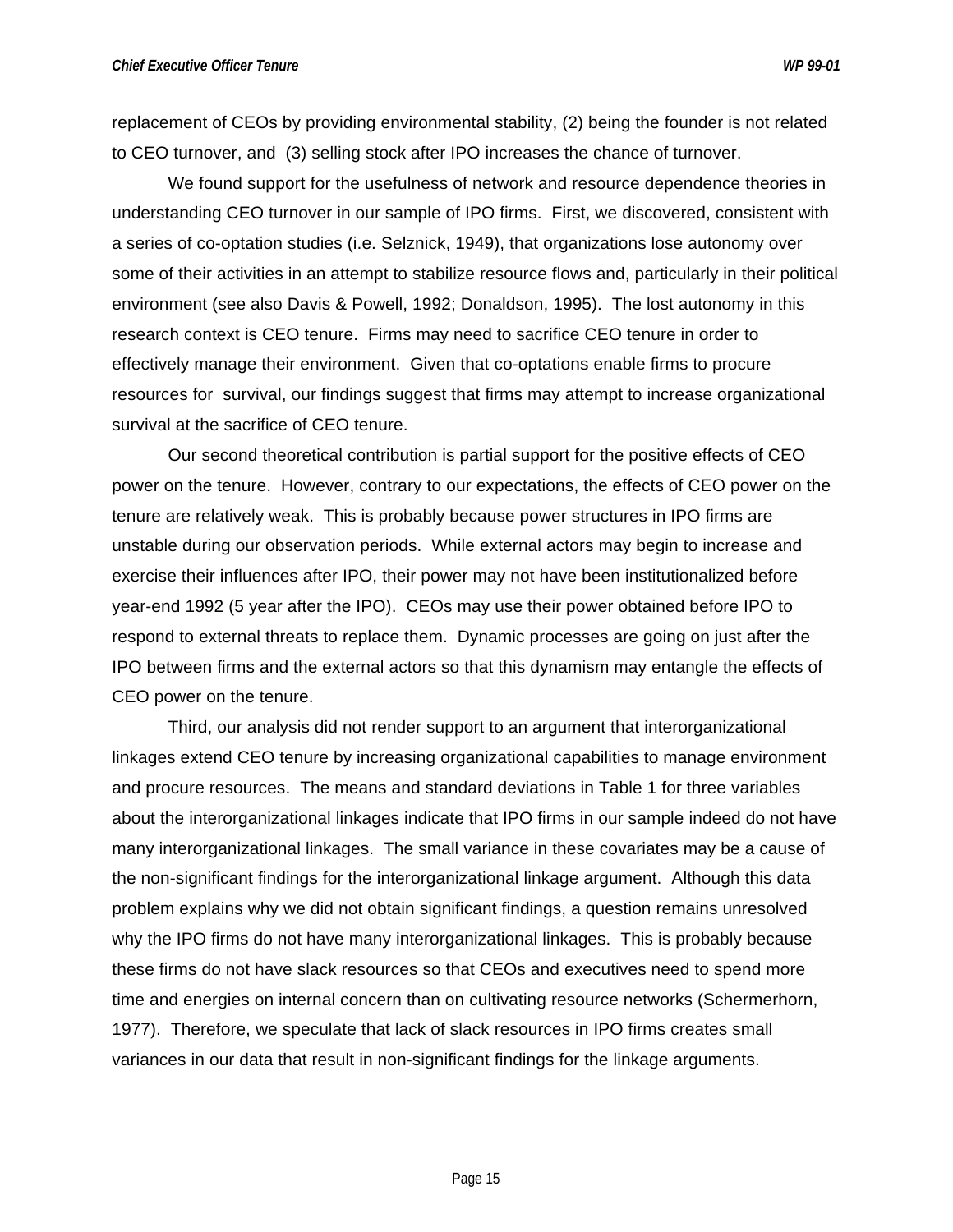replacement of CEOs by providing environmental stability, (2) being the founder is not related to CEO turnover, and (3) selling stock after IPO increases the chance of turnover.

We found support for the usefulness of network and resource dependence theories in understanding CEO turnover in our sample of IPO firms. First, we discovered, consistent with a series of co-optation studies (i.e. Selznick, 1949), that organizations lose autonomy over some of their activities in an attempt to stabilize resource flows and, particularly in their political environment (see also Davis & Powell, 1992; Donaldson, 1995). The lost autonomy in this research context is CEO tenure. Firms may need to sacrifice CEO tenure in order to effectively manage their environment. Given that co-optations enable firms to procure resources for survival, our findings suggest that firms may attempt to increase organizational survival at the sacrifice of CEO tenure.

Our second theoretical contribution is partial support for the positive effects of CEO power on the tenure. However, contrary to our expectations, the effects of CEO power on the tenure are relatively weak. This is probably because power structures in IPO firms are unstable during our observation periods. While external actors may begin to increase and exercise their influences after IPO, their power may not have been institutionalized before year-end 1992 (5 year after the IPO). CEOs may use their power obtained before IPO to respond to external threats to replace them. Dynamic processes are going on just after the IPO between firms and the external actors so that this dynamism may entangle the effects of CEO power on the tenure.

Third, our analysis did not render support to an argument that interorganizational linkages extend CEO tenure by increasing organizational capabilities to manage environment and procure resources. The means and standard deviations in Table 1 for three variables about the interorganizational linkages indicate that IPO firms in our sample indeed do not have many interorganizational linkages. The small variance in these covariates may be a cause of the non-significant findings for the interorganizational linkage argument. Although this data problem explains why we did not obtain significant findings, a question remains unresolved why the IPO firms do not have many interorganizational linkages. This is probably because these firms do not have slack resources so that CEOs and executives need to spend more time and energies on internal concern than on cultivating resource networks (Schermerhorn, 1977). Therefore, we speculate that lack of slack resources in IPO firms creates small variances in our data that result in non-significant findings for the linkage arguments.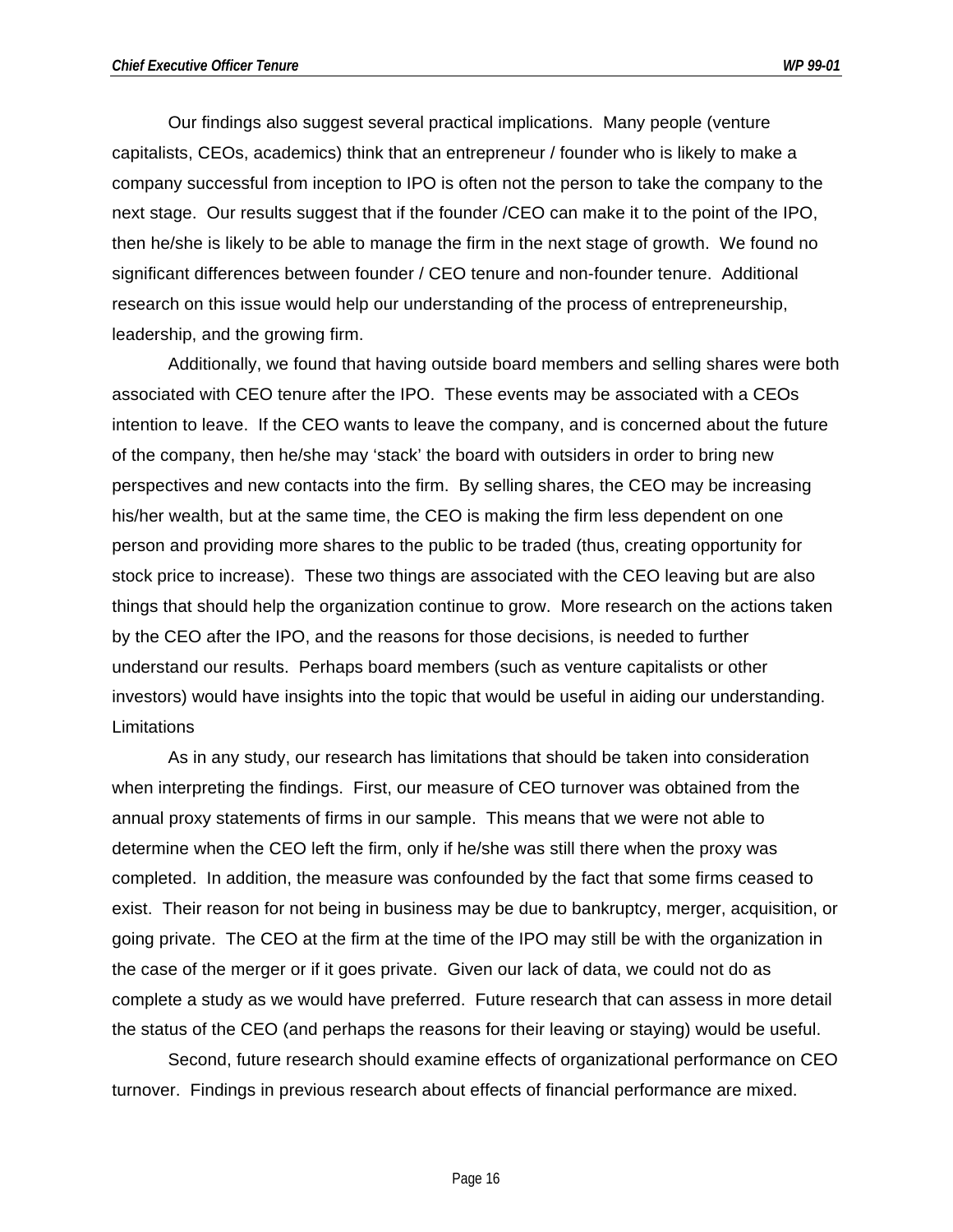Our findings also suggest several practical implications. Many people (venture capitalists, CEOs, academics) think that an entrepreneur / founder who is likely to make a company successful from inception to IPO is often not the person to take the company to the next stage. Our results suggest that if the founder /CEO can make it to the point of the IPO, then he/she is likely to be able to manage the firm in the next stage of growth. We found no significant differences between founder / CEO tenure and non-founder tenure. Additional research on this issue would help our understanding of the process of entrepreneurship, leadership, and the growing firm.

Additionally, we found that having outside board members and selling shares were both associated with CEO tenure after the IPO. These events may be associated with a CEOs intention to leave. If the CEO wants to leave the company, and is concerned about the future of the company, then he/she may 'stack' the board with outsiders in order to bring new perspectives and new contacts into the firm. By selling shares, the CEO may be increasing his/her wealth, but at the same time, the CEO is making the firm less dependent on one person and providing more shares to the public to be traded (thus, creating opportunity for stock price to increase). These two things are associated with the CEO leaving but are also things that should help the organization continue to grow. More research on the actions taken by the CEO after the IPO, and the reasons for those decisions, is needed to further understand our results. Perhaps board members (such as venture capitalists or other investors) would have insights into the topic that would be useful in aiding our understanding. **Limitations** 

As in any study, our research has limitations that should be taken into consideration when interpreting the findings. First, our measure of CEO turnover was obtained from the annual proxy statements of firms in our sample. This means that we were not able to determine when the CEO left the firm, only if he/she was still there when the proxy was completed. In addition, the measure was confounded by the fact that some firms ceased to exist. Their reason for not being in business may be due to bankruptcy, merger, acquisition, or going private. The CEO at the firm at the time of the IPO may still be with the organization in the case of the merger or if it goes private. Given our lack of data, we could not do as complete a study as we would have preferred. Future research that can assess in more detail the status of the CEO (and perhaps the reasons for their leaving or staying) would be useful.

Second, future research should examine effects of organizational performance on CEO turnover. Findings in previous research about effects of financial performance are mixed.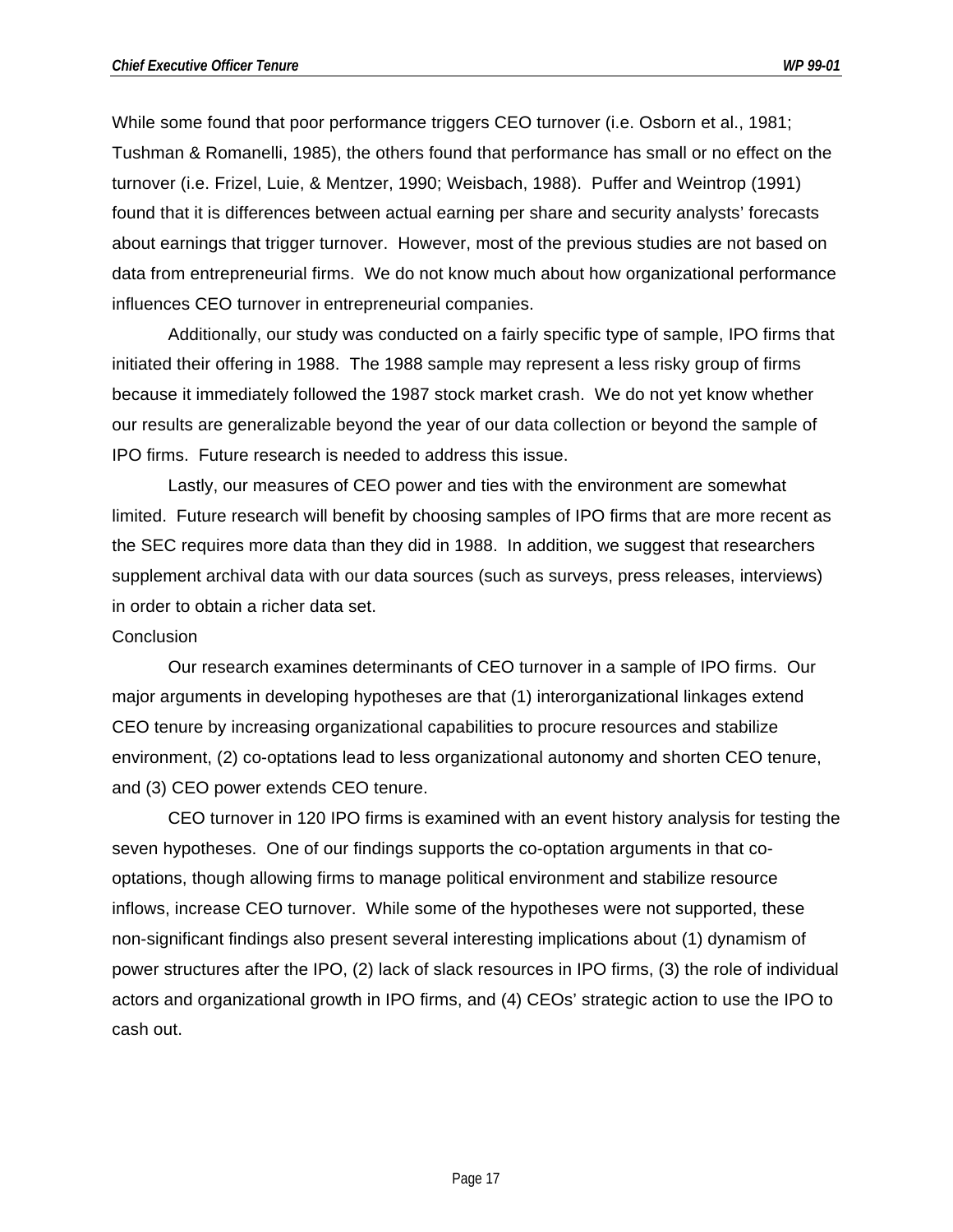While some found that poor performance triggers CEO turnover (i.e. Osborn et al., 1981; Tushman & Romanelli, 1985), the others found that performance has small or no effect on the turnover (i.e. Frizel, Luie, & Mentzer, 1990; Weisbach, 1988). Puffer and Weintrop (1991) found that it is differences between actual earning per share and security analysts' forecasts about earnings that trigger turnover. However, most of the previous studies are not based on data from entrepreneurial firms. We do not know much about how organizational performance influences CEO turnover in entrepreneurial companies.

Additionally, our study was conducted on a fairly specific type of sample, IPO firms that initiated their offering in 1988. The 1988 sample may represent a less risky group of firms because it immediately followed the 1987 stock market crash. We do not yet know whether our results are generalizable beyond the year of our data collection or beyond the sample of IPO firms. Future research is needed to address this issue.

Lastly, our measures of CEO power and ties with the environment are somewhat limited. Future research will benefit by choosing samples of IPO firms that are more recent as the SEC requires more data than they did in 1988. In addition, we suggest that researchers supplement archival data with our data sources (such as surveys, press releases, interviews) in order to obtain a richer data set.

#### Conclusion

Our research examines determinants of CEO turnover in a sample of IPO firms. Our major arguments in developing hypotheses are that (1) interorganizational linkages extend CEO tenure by increasing organizational capabilities to procure resources and stabilize environment, (2) co-optations lead to less organizational autonomy and shorten CEO tenure, and (3) CEO power extends CEO tenure.

CEO turnover in 120 IPO firms is examined with an event history analysis for testing the seven hypotheses. One of our findings supports the co-optation arguments in that cooptations, though allowing firms to manage political environment and stabilize resource inflows, increase CEO turnover. While some of the hypotheses were not supported, these non-significant findings also present several interesting implications about (1) dynamism of power structures after the IPO, (2) lack of slack resources in IPO firms, (3) the role of individual actors and organizational growth in IPO firms, and (4) CEOs' strategic action to use the IPO to cash out.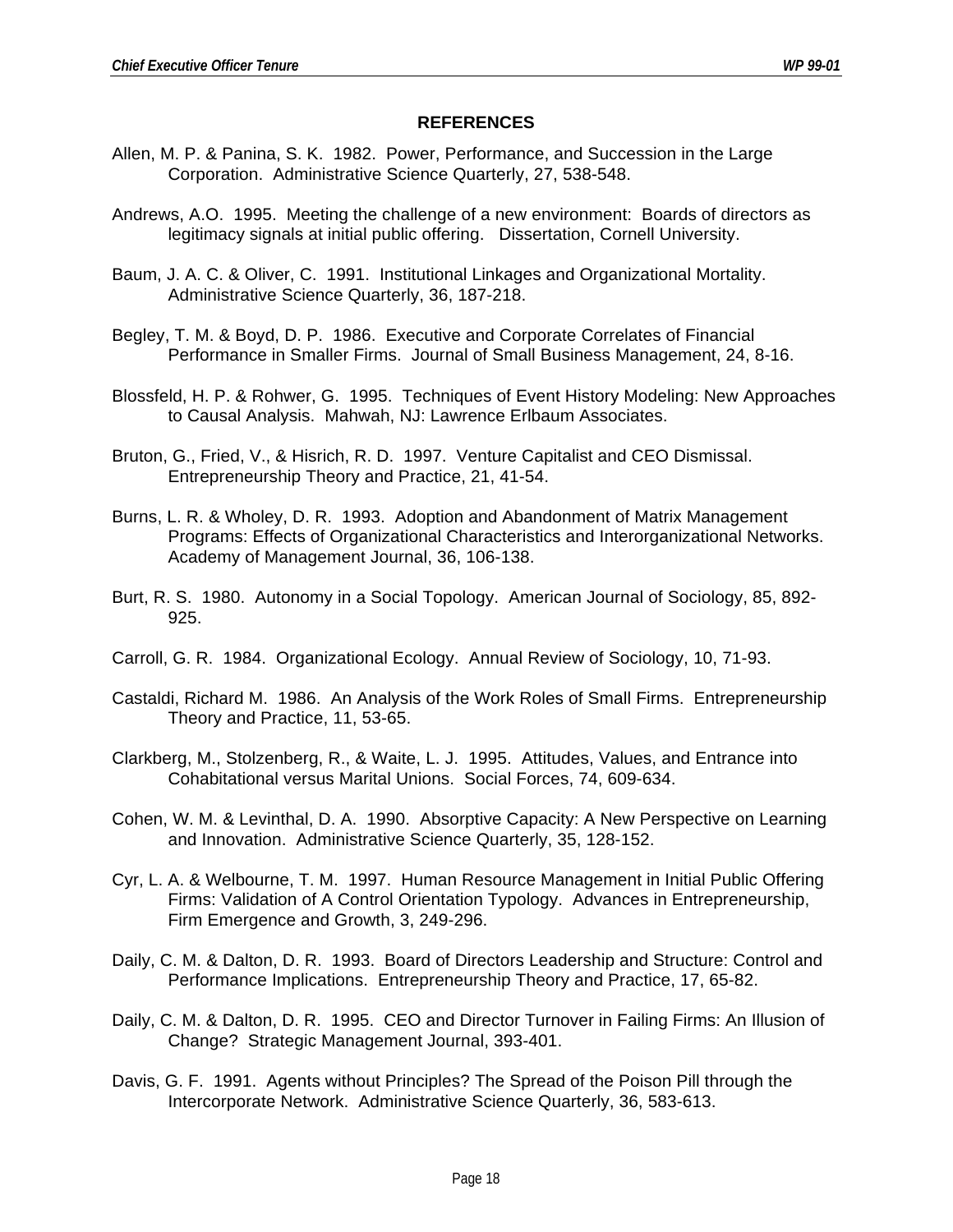#### **REFERENCES**

- Allen, M. P. & Panina, S. K. 1982. Power, Performance, and Succession in the Large Corporation. Administrative Science Quarterly, 27, 538-548.
- Andrews, A.O. 1995. Meeting the challenge of a new environment: Boards of directors as legitimacy signals at initial public offering. Dissertation, Cornell University.
- Baum, J. A. C. & Oliver, C. 1991. Institutional Linkages and Organizational Mortality. Administrative Science Quarterly, 36, 187-218.
- Begley, T. M. & Boyd, D. P. 1986. Executive and Corporate Correlates of Financial Performance in Smaller Firms. Journal of Small Business Management, 24, 8-16.
- Blossfeld, H. P. & Rohwer, G. 1995. Techniques of Event History Modeling: New Approaches to Causal Analysis. Mahwah, NJ: Lawrence Erlbaum Associates.
- Bruton, G., Fried, V., & Hisrich, R. D. 1997. Venture Capitalist and CEO Dismissal. Entrepreneurship Theory and Practice, 21, 41-54.
- Burns, L. R. & Wholey, D. R. 1993. Adoption and Abandonment of Matrix Management Programs: Effects of Organizational Characteristics and Interorganizational Networks. Academy of Management Journal, 36, 106-138.
- Burt, R. S. 1980. Autonomy in a Social Topology. American Journal of Sociology, 85, 892- 925.
- Carroll, G. R. 1984. Organizational Ecology. Annual Review of Sociology, 10, 71-93.
- Castaldi, Richard M. 1986. An Analysis of the Work Roles of Small Firms. Entrepreneurship Theory and Practice, 11, 53-65.
- Clarkberg, M., Stolzenberg, R., & Waite, L. J. 1995. Attitudes, Values, and Entrance into Cohabitational versus Marital Unions. Social Forces, 74, 609-634.
- Cohen, W. M. & Levinthal, D. A. 1990. Absorptive Capacity: A New Perspective on Learning and Innovation. Administrative Science Quarterly, 35, 128-152.
- Cyr, L. A. & Welbourne, T. M. 1997. Human Resource Management in Initial Public Offering Firms: Validation of A Control Orientation Typology. Advances in Entrepreneurship, Firm Emergence and Growth, 3, 249-296.
- Daily, C. M. & Dalton, D. R. 1993. Board of Directors Leadership and Structure: Control and Performance Implications. Entrepreneurship Theory and Practice, 17, 65-82.
- Daily, C. M. & Dalton, D. R. 1995. CEO and Director Turnover in Failing Firms: An Illusion of Change? Strategic Management Journal, 393-401.
- Davis, G. F. 1991. Agents without Principles? The Spread of the Poison Pill through the Intercorporate Network. Administrative Science Quarterly, 36, 583-613.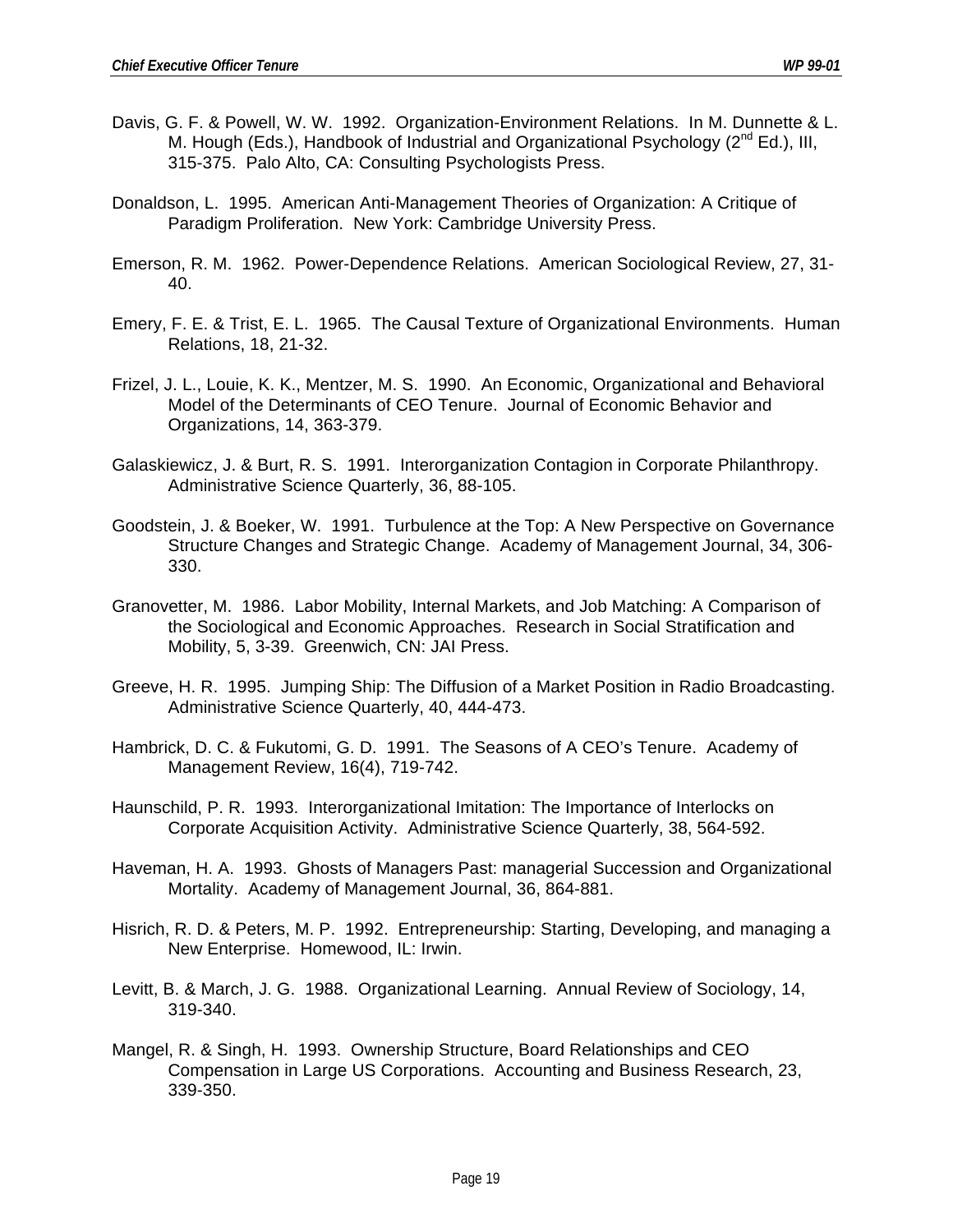- Davis, G. F. & Powell, W. W. 1992. Organization-Environment Relations. In M. Dunnette & L. M. Hough (Eds.), Handbook of Industrial and Organizational Psychology ( $2<sup>nd</sup> Ed$ .), III, 315-375. Palo Alto, CA: Consulting Psychologists Press.
- Donaldson, L. 1995. American Anti-Management Theories of Organization: A Critique of Paradigm Proliferation. New York: Cambridge University Press.
- Emerson, R. M. 1962. Power-Dependence Relations. American Sociological Review, 27, 31- 40.
- Emery, F. E. & Trist, E. L. 1965. The Causal Texture of Organizational Environments. Human Relations, 18, 21-32.
- Frizel, J. L., Louie, K. K., Mentzer, M. S. 1990. An Economic, Organizational and Behavioral Model of the Determinants of CEO Tenure. Journal of Economic Behavior and Organizations, 14, 363-379.
- Galaskiewicz, J. & Burt, R. S. 1991. Interorganization Contagion in Corporate Philanthropy. Administrative Science Quarterly, 36, 88-105.
- Goodstein, J. & Boeker, W. 1991. Turbulence at the Top: A New Perspective on Governance Structure Changes and Strategic Change. Academy of Management Journal, 34, 306- 330.
- Granovetter, M. 1986. Labor Mobility, Internal Markets, and Job Matching: A Comparison of the Sociological and Economic Approaches. Research in Social Stratification and Mobility, 5, 3-39. Greenwich, CN: JAI Press.
- Greeve, H. R. 1995. Jumping Ship: The Diffusion of a Market Position in Radio Broadcasting. Administrative Science Quarterly, 40, 444-473.
- Hambrick, D. C. & Fukutomi, G. D. 1991. The Seasons of A CEO's Tenure. Academy of Management Review, 16(4), 719-742.
- Haunschild, P. R. 1993. Interorganizational Imitation: The Importance of Interlocks on Corporate Acquisition Activity. Administrative Science Quarterly, 38, 564-592.
- Haveman, H. A. 1993. Ghosts of Managers Past: managerial Succession and Organizational Mortality. Academy of Management Journal, 36, 864-881.
- Hisrich, R. D. & Peters, M. P. 1992. Entrepreneurship: Starting, Developing, and managing a New Enterprise. Homewood, IL: Irwin.
- Levitt, B. & March, J. G. 1988. Organizational Learning. Annual Review of Sociology, 14, 319-340.
- Mangel, R. & Singh, H. 1993. Ownership Structure, Board Relationships and CEO Compensation in Large US Corporations. Accounting and Business Research, 23, 339-350.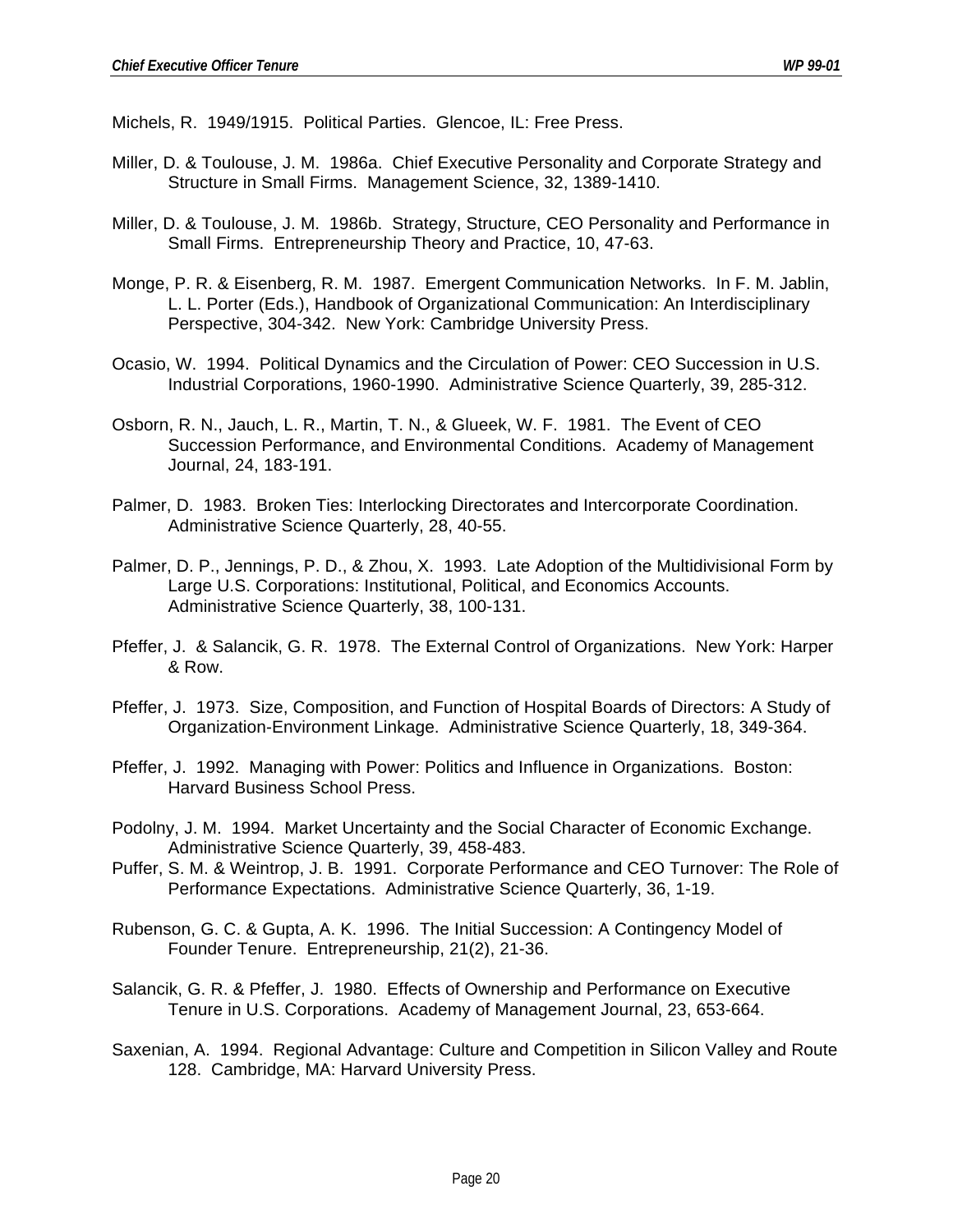Michels, R. 1949/1915. Political Parties. Glencoe, IL: Free Press.

- Miller, D. & Toulouse, J. M. 1986a. Chief Executive Personality and Corporate Strategy and Structure in Small Firms. Management Science, 32, 1389-1410.
- Miller, D. & Toulouse, J. M. 1986b. Strategy, Structure, CEO Personality and Performance in Small Firms. Entrepreneurship Theory and Practice, 10, 47-63.
- Monge, P. R. & Eisenberg, R. M. 1987. Emergent Communication Networks. In F. M. Jablin, L. L. Porter (Eds.), Handbook of Organizational Communication: An Interdisciplinary Perspective, 304-342. New York: Cambridge University Press.
- Ocasio, W. 1994. Political Dynamics and the Circulation of Power: CEO Succession in U.S. Industrial Corporations, 1960-1990. Administrative Science Quarterly, 39, 285-312.
- Osborn, R. N., Jauch, L. R., Martin, T. N., & Glueek, W. F. 1981. The Event of CEO Succession Performance, and Environmental Conditions. Academy of Management Journal, 24, 183-191.
- Palmer, D. 1983. Broken Ties: Interlocking Directorates and Intercorporate Coordination. Administrative Science Quarterly, 28, 40-55.
- Palmer, D. P., Jennings, P. D., & Zhou, X. 1993. Late Adoption of the Multidivisional Form by Large U.S. Corporations: Institutional, Political, and Economics Accounts. Administrative Science Quarterly, 38, 100-131.
- Pfeffer, J. & Salancik, G. R. 1978. The External Control of Organizations. New York: Harper & Row.
- Pfeffer, J. 1973. Size, Composition, and Function of Hospital Boards of Directors: A Study of Organization-Environment Linkage. Administrative Science Quarterly, 18, 349-364.
- Pfeffer, J. 1992. Managing with Power: Politics and Influence in Organizations. Boston: Harvard Business School Press.
- Podolny, J. M. 1994. Market Uncertainty and the Social Character of Economic Exchange. Administrative Science Quarterly, 39, 458-483.
- Puffer, S. M. & Weintrop, J. B. 1991. Corporate Performance and CEO Turnover: The Role of Performance Expectations. Administrative Science Quarterly, 36, 1-19.
- Rubenson, G. C. & Gupta, A. K. 1996. The Initial Succession: A Contingency Model of Founder Tenure. Entrepreneurship, 21(2), 21-36.
- Salancik, G. R. & Pfeffer, J. 1980. Effects of Ownership and Performance on Executive Tenure in U.S. Corporations. Academy of Management Journal, 23, 653-664.
- Saxenian, A. 1994. Regional Advantage: Culture and Competition in Silicon Valley and Route 128. Cambridge, MA: Harvard University Press.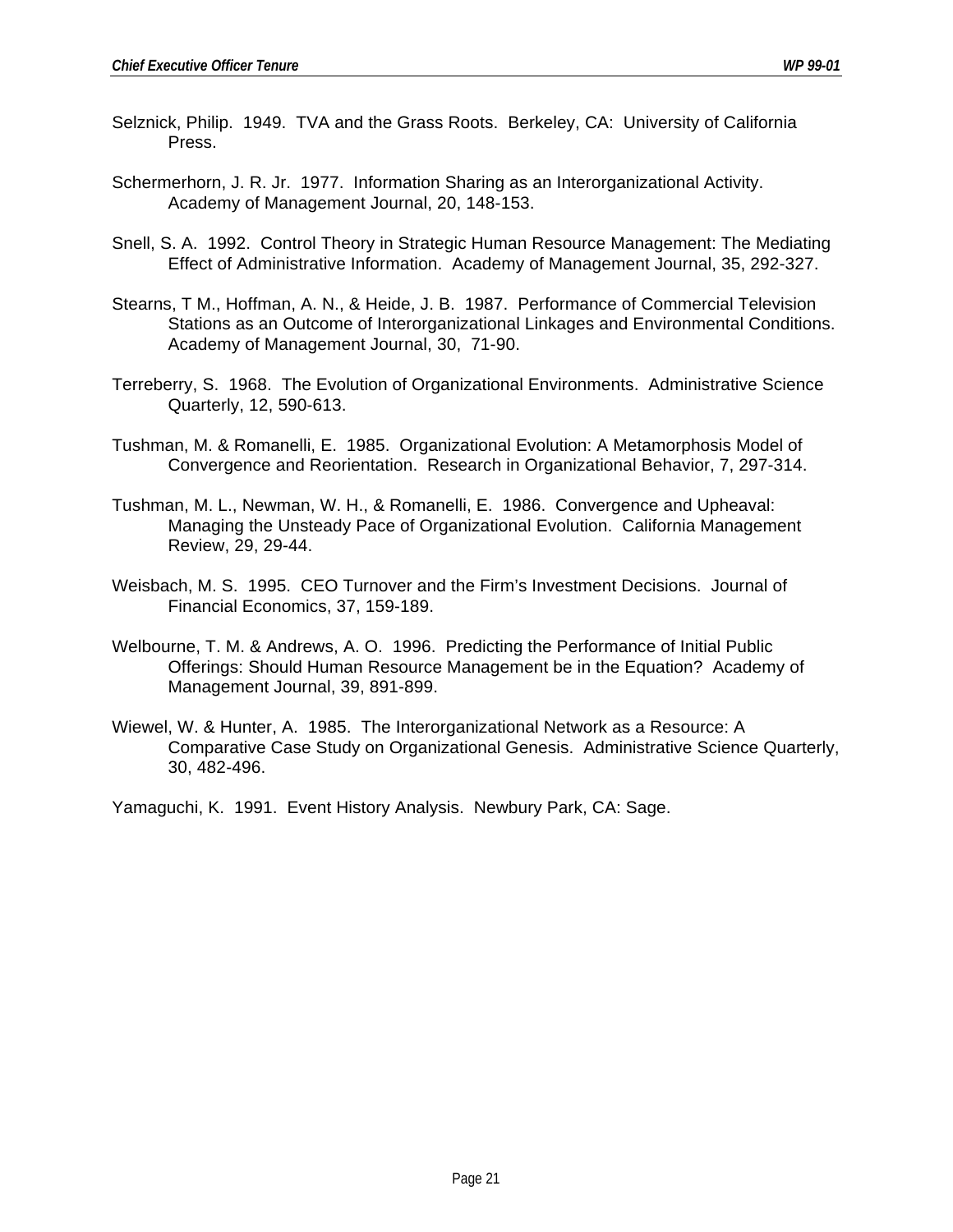- Selznick, Philip. 1949. TVA and the Grass Roots. Berkeley, CA: University of California Press.
- Schermerhorn, J. R. Jr. 1977. Information Sharing as an Interorganizational Activity. Academy of Management Journal, 20, 148-153.
- Snell, S. A. 1992. Control Theory in Strategic Human Resource Management: The Mediating Effect of Administrative Information. Academy of Management Journal, 35, 292-327.
- Stearns, T M., Hoffman, A. N., & Heide, J. B. 1987. Performance of Commercial Television Stations as an Outcome of Interorganizational Linkages and Environmental Conditions. Academy of Management Journal, 30, 71-90.
- Terreberry, S. 1968. The Evolution of Organizational Environments. Administrative Science Quarterly, 12, 590-613.
- Tushman, M. & Romanelli, E. 1985. Organizational Evolution: A Metamorphosis Model of Convergence and Reorientation. Research in Organizational Behavior, 7, 297-314.
- Tushman, M. L., Newman, W. H., & Romanelli, E. 1986. Convergence and Upheaval: Managing the Unsteady Pace of Organizational Evolution. California Management Review, 29, 29-44.
- Weisbach, M. S. 1995. CEO Turnover and the Firm's Investment Decisions. Journal of Financial Economics, 37, 159-189.
- Welbourne, T. M. & Andrews, A. O. 1996. Predicting the Performance of Initial Public Offerings: Should Human Resource Management be in the Equation? Academy of Management Journal, 39, 891-899.
- Wiewel, W. & Hunter, A. 1985. The Interorganizational Network as a Resource: A Comparative Case Study on Organizational Genesis. Administrative Science Quarterly, 30, 482-496.

Yamaguchi, K. 1991. Event History Analysis. Newbury Park, CA: Sage.